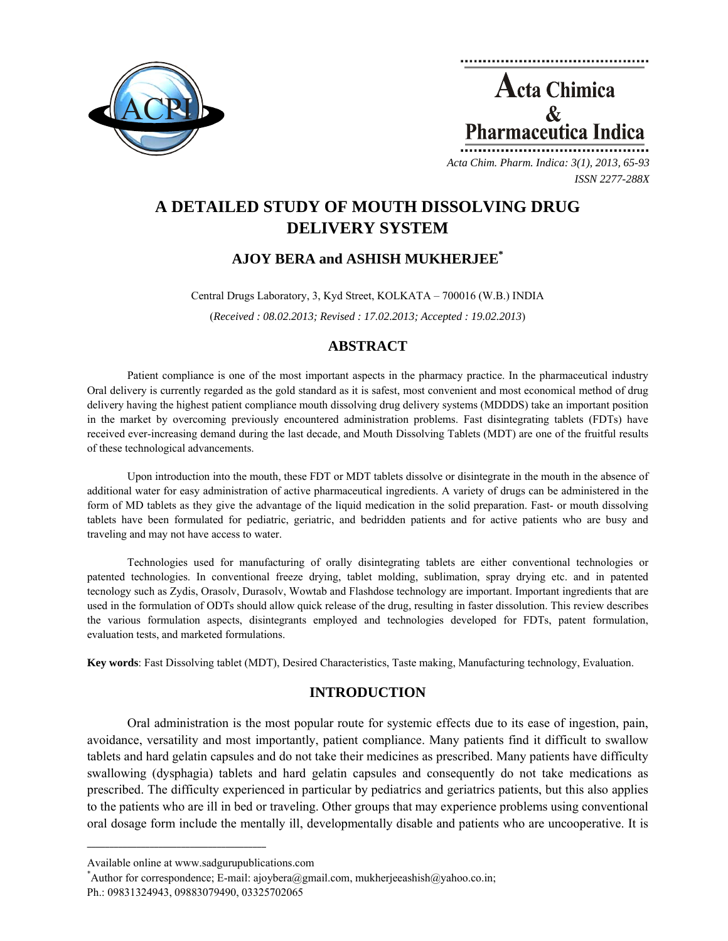

**Acta Chimica**  $\mathcal{R}$ **Pharmaceutica Indica** *Acta Chim. Pharm. Indica: 3(1), 2013, 65-93*

*ISSN 2277-288X*

# **A DETAILED STUDY OF MOUTH DISSOLVING DRUG DELIVERY SYSTEM**

# **AJOY BERA and ASHISH MUKHERJEE\***

Central Drugs Laboratory, 3, Kyd Street, KOLKATA – 700016 (W.B.) INDIA

(*Received : 08.02.2013; Revised : 17.02.2013; Accepted : 19.02.2013*)

# **ABSTRACT**

Patient compliance is one of the most important aspects in the pharmacy practice. In the pharmaceutical industry Oral delivery is currently regarded as the gold standard as it is safest, most convenient and most economical method of drug delivery having the highest patient compliance mouth dissolving drug delivery systems (MDDDS) take an important position in the market by overcoming previously encountered administration problems. Fast disintegrating tablets (FDTs) have received ever-increasing demand during the last decade, and Mouth Dissolving Tablets (MDT) are one of the fruitful results of these technological advancements.

Upon introduction into the mouth, these FDT or MDT tablets dissolve or disintegrate in the mouth in the absence of additional water for easy administration of active pharmaceutical ingredients. A variety of drugs can be administered in the form of MD tablets as they give the advantage of the liquid medication in the solid preparation. Fast- or mouth dissolving tablets have been formulated for pediatric, geriatric, and bedridden patients and for active patients who are busy and traveling and may not have access to water.

Technologies used for manufacturing of orally disintegrating tablets are either conventional technologies or patented technologies. In conventional freeze drying, tablet molding, sublimation, spray drying etc. and in patented tecnology such as Zydis, Orasolv, Durasolv, Wowtab and Flashdose technology are important. Important ingredients that are used in the formulation of ODTs should allow quick release of the drug, resulting in faster dissolution. This review describes the various formulation aspects, disintegrants employed and technologies developed for FDTs, patent formulation, evaluation tests, and marketed formulations.

**Key words**: Fast Dissolving tablet (MDT), Desired Characteristics, Taste making, Manufacturing technology, Evaluation.

# **INTRODUCTION**

Oral administration is the most popular route for systemic effects due to its ease of ingestion, pain, avoidance, versatility and most importantly, patient compliance. Many patients find it difficult to swallow tablets and hard gelatin capsules and do not take their medicines as prescribed. Many patients have difficulty swallowing (dysphagia) tablets and hard gelatin capsules and consequently do not take medications as prescribed. The difficulty experienced in particular by pediatrics and geriatrics patients, but this also applies to the patients who are ill in bed or traveling. Other groups that may experience problems using conventional oral dosage form include the mentally ill, developmentally disable and patients who are uncooperative. It is

**\_\_\_\_\_\_\_\_\_\_\_\_\_\_\_\_\_\_\_\_\_\_\_\_\_\_\_\_\_\_\_\_\_\_\_\_\_\_\_\_**

Author for correspondence; E-mail: ajoybera@gmail.com, mukherjeeashish@yahoo.co.in;

Available online at www.sadgurupublications.com \*

Ph.: 09831324943, 09883079490, 03325702065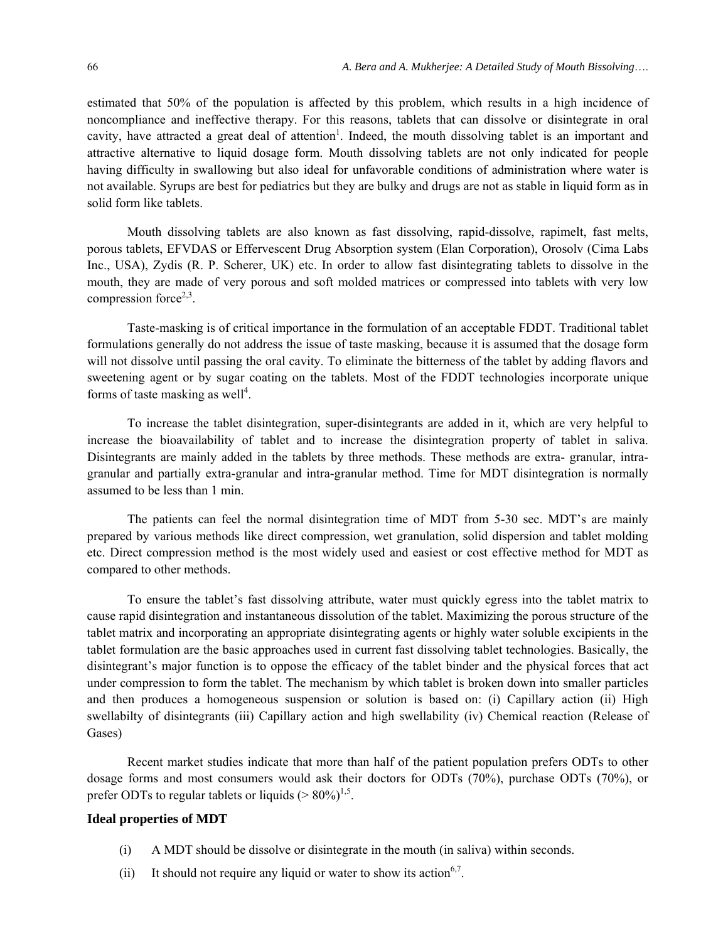estimated that 50% of the population is affected by this problem, which results in a high incidence of noncompliance and ineffective therapy. For this reasons, tablets that can dissolve or disintegrate in oral cavity, have attracted a great deal of attention<sup>1</sup>. Indeed, the mouth dissolving tablet is an important and attractive alternative to liquid dosage form. Mouth dissolving tablets are not only indicated for people having difficulty in swallowing but also ideal for unfavorable conditions of administration where water is not available. Syrups are best for pediatrics but they are bulky and drugs are not as stable in liquid form as in solid form like tablets.

Mouth dissolving tablets are also known as fast dissolving, rapid-dissolve, rapimelt, fast melts, porous tablets, EFVDAS or Effervescent Drug Absorption system (Elan Corporation), Orosolv (Cima Labs Inc., USA), Zydis (R. P. Scherer, UK) etc. In order to allow fast disintegrating tablets to dissolve in the mouth, they are made of very porous and soft molded matrices or compressed into tablets with very low compression force $2,3$ .

Taste-masking is of critical importance in the formulation of an acceptable FDDT. Traditional tablet formulations generally do not address the issue of taste masking, because it is assumed that the dosage form will not dissolve until passing the oral cavity. To eliminate the bitterness of the tablet by adding flavors and sweetening agent or by sugar coating on the tablets. Most of the FDDT technologies incorporate unique forms of taste masking as well<sup>4</sup>.

To increase the tablet disintegration, super-disintegrants are added in it, which are very helpful to increase the bioavailability of tablet and to increase the disintegration property of tablet in saliva. Disintegrants are mainly added in the tablets by three methods. These methods are extra- granular, intragranular and partially extra-granular and intra-granular method. Time for MDT disintegration is normally assumed to be less than 1 min.

The patients can feel the normal disintegration time of MDT from 5-30 sec. MDT's are mainly prepared by various methods like direct compression, wet granulation, solid dispersion and tablet molding etc. Direct compression method is the most widely used and easiest or cost effective method for MDT as compared to other methods.

To ensure the tablet's fast dissolving attribute, water must quickly egress into the tablet matrix to cause rapid disintegration and instantaneous dissolution of the tablet. Maximizing the porous structure of the tablet matrix and incorporating an appropriate disintegrating agents or highly water soluble excipients in the tablet formulation are the basic approaches used in current fast dissolving tablet technologies. Basically, the disintegrant's major function is to oppose the efficacy of the tablet binder and the physical forces that act under compression to form the tablet. The mechanism by which tablet is broken down into smaller particles and then produces a homogeneous suspension or solution is based on: (i) Capillary action (ii) High swellabilty of disintegrants (iii) Capillary action and high swellability (iv) Chemical reaction (Release of Gases)

Recent market studies indicate that more than half of the patient population prefers ODTs to other dosage forms and most consumers would ask their doctors for ODTs (70%), purchase ODTs (70%), or prefer ODTs to regular tablets or liquids ( $> 80\%$ )<sup>1,5</sup>.

# **Ideal properties of MDT**

- (i) A MDT should be dissolve or disintegrate in the mouth (in saliva) within seconds.
- (ii) It should not require any liquid or water to show its action<sup>6,7</sup>.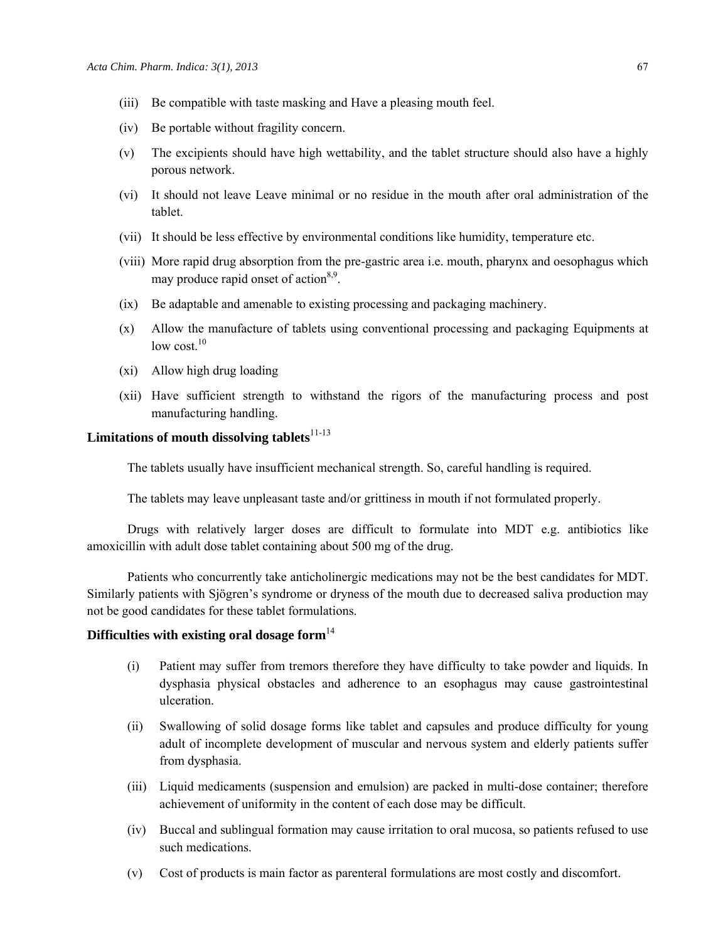- (iii) Be compatible with taste masking and Have a pleasing mouth feel.
- (iv) Be portable without fragility concern.
- (v) The excipients should have high wettability, and the tablet structure should also have a highly porous network.
- (vi) It should not leave Leave minimal or no residue in the mouth after oral administration of the tablet.
- (vii) It should be less effective by environmental conditions like humidity, temperature etc.
- (viii) More rapid drug absorption from the pre-gastric area i.e. mouth, pharynx and oesophagus which may produce rapid onset of action<sup>8,9</sup>.
- (ix) Be adaptable and amenable to existing processing and packaging machinery.
- (x) Allow the manufacture of tablets using conventional processing and packaging Equipments at low cost  $10$
- (xi) Allow high drug loading
- (xii) Have sufficient strength to withstand the rigors of the manufacturing process and post manufacturing handling.

# Limitations of mouth dissolving tablets<sup>11-13</sup>

The tablets usually have insufficient mechanical strength. So, careful handling is required.

The tablets may leave unpleasant taste and/or grittiness in mouth if not formulated properly.

Drugs with relatively larger doses are difficult to formulate into MDT e.g. antibiotics like amoxicillin with adult dose tablet containing about 500 mg of the drug.

Patients who concurrently take anticholinergic medications may not be the best candidates for MDT. Similarly patients with Sjögren's syndrome or dryness of the mouth due to decreased saliva production may not be good candidates for these tablet formulations.

# **Difficulties with existing oral dosage form**<sup>14</sup>

- (i) Patient may suffer from tremors therefore they have difficulty to take powder and liquids. In dysphasia physical obstacles and adherence to an esophagus may cause gastrointestinal ulceration.
- (ii) Swallowing of solid dosage forms like tablet and capsules and produce difficulty for young adult of incomplete development of muscular and nervous system and elderly patients suffer from dysphasia.
- (iii) Liquid medicaments (suspension and emulsion) are packed in multi-dose container; therefore achievement of uniformity in the content of each dose may be difficult.
- (iv) Buccal and sublingual formation may cause irritation to oral mucosa, so patients refused to use such medications.
- (v) Cost of products is main factor as parenteral formulations are most costly and discomfort.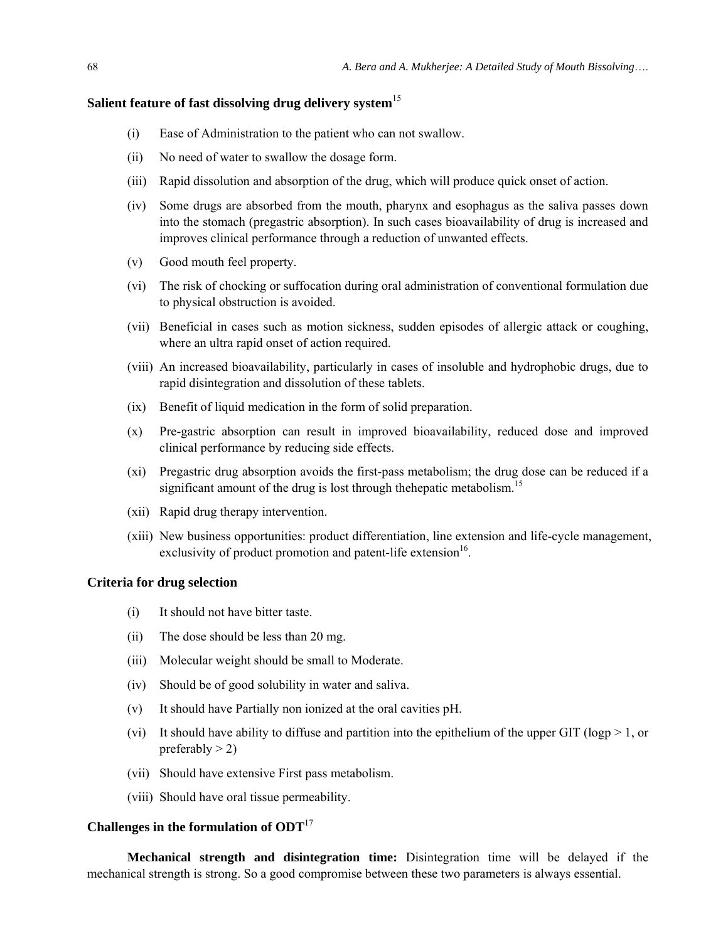# **Salient feature of fast dissolving drug delivery system**<sup>15</sup>

- (i) Ease of Administration to the patient who can not swallow.
- (ii) No need of water to swallow the dosage form.
- (iii) Rapid dissolution and absorption of the drug, which will produce quick onset of action.
- (iv) Some drugs are absorbed from the mouth, pharynx and esophagus as the saliva passes down into the stomach (pregastric absorption). In such cases bioavailability of drug is increased and improves clinical performance through a reduction of unwanted effects.
- (v) Good mouth feel property.
- (vi) The risk of chocking or suffocation during oral administration of conventional formulation due to physical obstruction is avoided.
- (vii) Beneficial in cases such as motion sickness, sudden episodes of allergic attack or coughing, where an ultra rapid onset of action required.
- (viii) An increased bioavailability, particularly in cases of insoluble and hydrophobic drugs, due to rapid disintegration and dissolution of these tablets.
- (ix) Benefit of liquid medication in the form of solid preparation.
- (x) Pre-gastric absorption can result in improved bioavailability, reduced dose and improved clinical performance by reducing side effects.
- (xi) Pregastric drug absorption avoids the first-pass metabolism; the drug dose can be reduced if a significant amount of the drug is lost through the hepatic metabolism.<sup>15</sup>
- (xii) Rapid drug therapy intervention.
- (xiii) New business opportunities: product differentiation, line extension and life-cycle management, exclusivity of product promotion and patent-life extension<sup>16</sup>.

#### **Criteria for drug selection**

- (i) It should not have bitter taste.
- (ii) The dose should be less than 20 mg.
- (iii) Molecular weight should be small to Moderate.
- (iv) Should be of good solubility in water and saliva.
- (v) It should have Partially non ionized at the oral cavities pH.
- (vi) It should have ability to diffuse and partition into the epithelium of the upper GIT (logp  $> 1$ , or preferably  $>$  2)
- (vii) Should have extensive First pass metabolism.
- (viii) Should have oral tissue permeability.

# **Challenges in the formulation of ODT**<sup>17</sup>

**Mechanical strength and disintegration time:** Disintegration time will be delayed if the mechanical strength is strong. So a good compromise between these two parameters is always essential.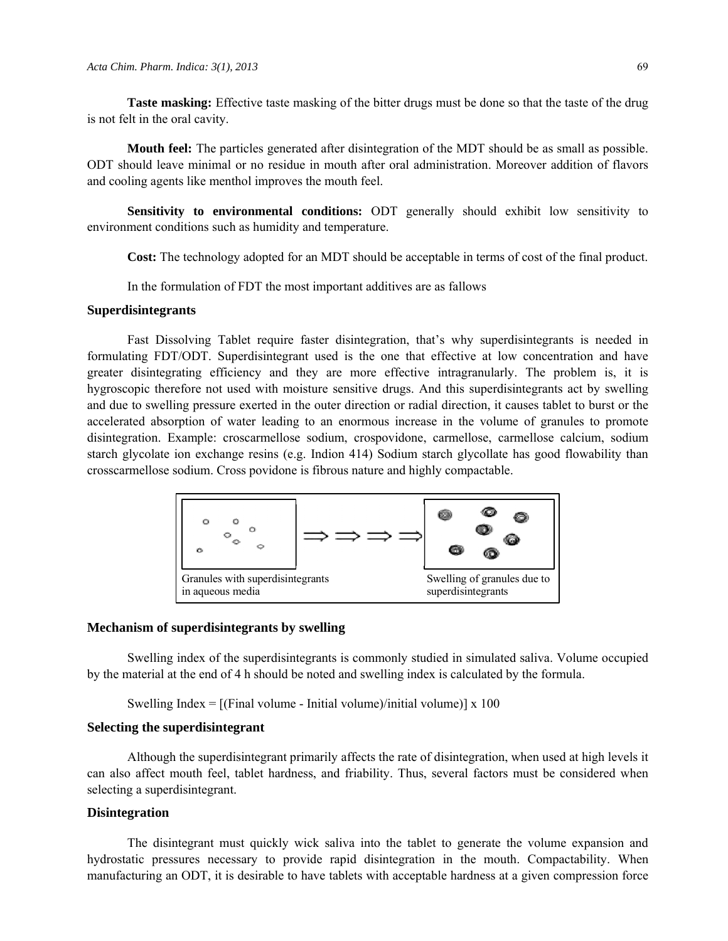**Taste masking:** Effective taste masking of the bitter drugs must be done so that the taste of the drug is not felt in the oral cavity.

**Mouth feel:** The particles generated after disintegration of the MDT should be as small as possible. ODT should leave minimal or no residue in mouth after oral administration. Moreover addition of flavors and cooling agents like menthol improves the mouth feel.

**Sensitivity to environmental conditions:** ODT generally should exhibit low sensitivity to environment conditions such as humidity and temperature.

**Cost:** The technology adopted for an MDT should be acceptable in terms of cost of the final product.

In the formulation of FDT the most important additives are as fallows

# **Superdisintegrants**

Fast Dissolving Tablet require faster disintegration, that's why superdisintegrants is needed in formulating FDT/ODT. Superdisintegrant used is the one that effective at low concentration and have greater disintegrating efficiency and they are more effective intragranularly. The problem is, it is hygroscopic therefore not used with moisture sensitive drugs. And this superdisintegrants act by swelling and due to swelling pressure exerted in the outer direction or radial direction, it causes tablet to burst or the accelerated absorption of water leading to an enormous increase in the volume of granules to promote disintegration. Example: croscarmellose sodium, crospovidone, carmellose, carmellose calcium, sodium starch glycolate ion exchange resins (e.g. Indion 414) Sodium starch glycollate has good flowability than crosscarmellose sodium. Cross povidone is fibrous nature and highly compactable.



#### **Mechanism of superdisintegrants by swelling**

Swelling index of the superdisintegrants is commonly studied in simulated saliva. Volume occupied by the material at the end of 4 h should be noted and swelling index is calculated by the formula.

Swelling Index  $=$  [(Final volume - Initial volume)/initial volume)] x 100

#### **Selecting the superdisintegrant**

Although the superdisintegrant primarily affects the rate of disintegration, when used at high levels it can also affect mouth feel, tablet hardness, and friability. Thus, several factors must be considered when selecting a superdisintegrant.

#### **Disintegration**

The disintegrant must quickly wick saliva into the tablet to generate the volume expansion and hydrostatic pressures necessary to provide rapid disintegration in the mouth. Compactability. When manufacturing an ODT, it is desirable to have tablets with acceptable hardness at a given compression force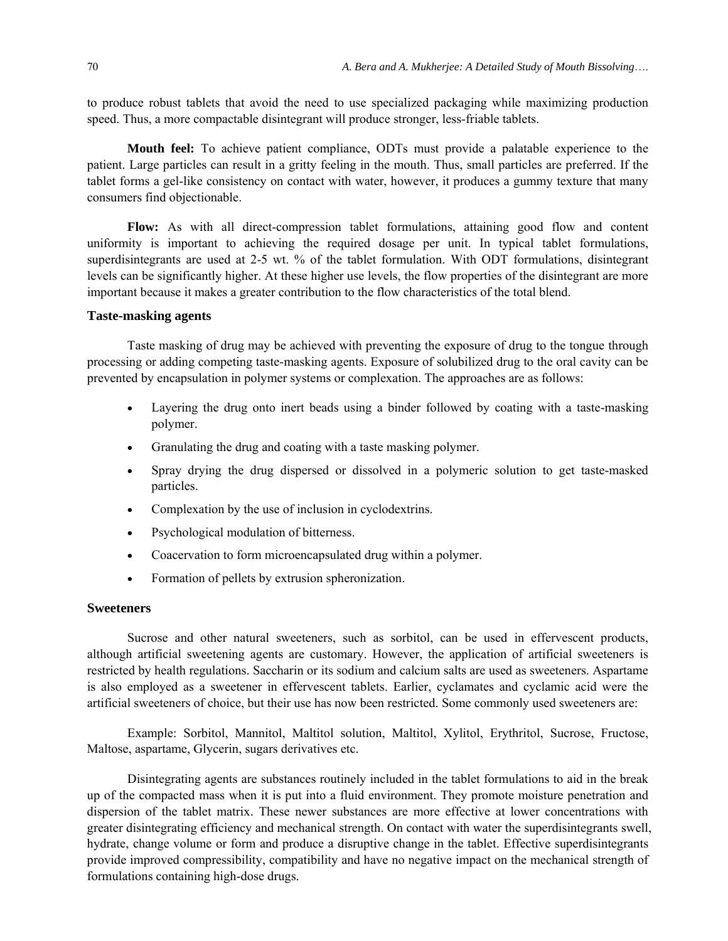to produce robust tablets that avoid the need to use specialized packaging while maximizing production speed. Thus, a more compactable disintegrant will produce stronger, less-friable tablets.

**Mouth feel:** To achieve patient compliance, ODTs must provide a palatable experience to the patient. Large particles can result in a gritty feeling in the mouth. Thus, small particles are preferred. If the tablet forms a gel-like consistency on contact with water, however, it produces a gummy texture that many consumers find objectionable.

**Flow:** As with all direct-compression tablet formulations, attaining good flow and content uniformity is important to achieving the required dosage per unit. In typical tablet formulations, superdisintegrants are used at 2-5 wt. % of the tablet formulation. With ODT formulations, disintegrant levels can be significantly higher. At these higher use levels, the flow properties of the disintegrant are more important because it makes a greater contribution to the flow characteristics of the total blend.

#### **Taste-masking agents**

Taste masking of drug may be achieved with preventing the exposure of drug to the tongue through processing or adding competing taste-masking agents. Exposure of solubilized drug to the oral cavity can be prevented by encapsulation in polymer systems or complexation. The approaches are as follows:

- Layering the drug onto inert beads using a binder followed by coating with a taste-masking polymer.
- Granulating the drug and coating with a taste masking polymer.
- Spray drying the drug dispersed or dissolved in a polymeric solution to get taste-masked particles.
- Complexation by the use of inclusion in cyclodextrins.
- Psychological modulation of bitterness.
- Coacervation to form microencapsulated drug within a polymer.
- Formation of pellets by extrusion spheronization.

# **Sweeteners**

Sucrose and other natural sweeteners, such as sorbitol, can be used in effervescent products, although artificial sweetening agents are customary. However, the application of artificial sweeteners is restricted by health regulations. Saccharin or its sodium and calcium salts are used as sweeteners. Aspartame is also employed as a sweetener in effervescent tablets. Earlier, cyclamates and cyclamic acid were the artificial sweeteners of choice, but their use has now been restricted. Some commonly used sweeteners are:

Example: Sorbitol, Mannitol, Maltitol solution, Maltitol, Xylitol, Erythritol, Sucrose, Fructose, Maltose, aspartame, Glycerin, sugars derivatives etc.

Disintegrating agents are substances routinely included in the tablet formulations to aid in the break up of the compacted mass when it is put into a fluid environment. They promote moisture penetration and dispersion of the tablet matrix. These newer substances are more effective at lower concentrations with greater disintegrating efficiency and mechanical strength. On contact with water the superdisintegrants swell, hydrate, change volume or form and produce a disruptive change in the tablet. Effective superdisintegrants provide improved compressibility, compatibility and have no negative impact on the mechanical strength of formulations containing high-dose drugs.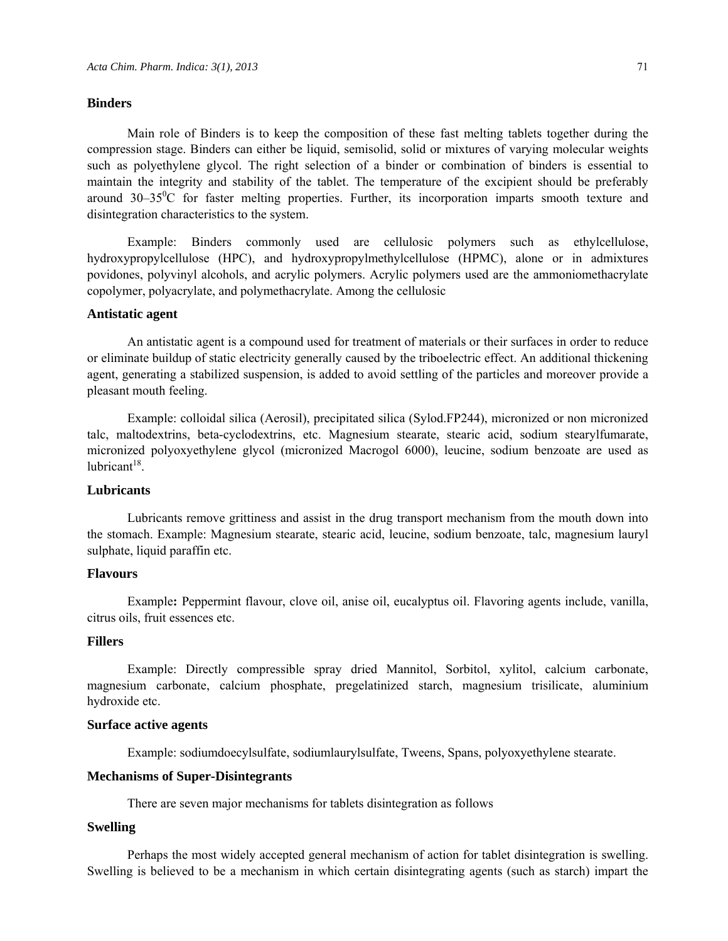#### **Binders**

Main role of Binders is to keep the composition of these fast melting tablets together during the compression stage. Binders can either be liquid, semisolid, solid or mixtures of varying molecular weights such as polyethylene glycol. The right selection of a binder or combination of binders is essential to maintain the integrity and stability of the tablet. The temperature of the excipient should be preferably around 30-35<sup>0</sup>C for faster melting properties. Further, its incorporation imparts smooth texture and disintegration characteristics to the system.

Example: Binders commonly used are cellulosic polymers such as ethylcellulose, hydroxypropylcellulose (HPC), and hydroxypropylmethylcellulose (HPMC), alone or in admixtures povidones, polyvinyl alcohols, and acrylic polymers. Acrylic polymers used are the ammoniomethacrylate copolymer, polyacrylate, and polymethacrylate. Among the cellulosic

# **Antistatic agent**

An antistatic agent is a compound used for treatment of materials or their surfaces in order to reduce or eliminate buildup of static electricity generally caused by the triboelectric effect. An additional thickening agent, generating a stabilized suspension, is added to avoid settling of the particles and moreover provide a pleasant mouth feeling.

Example: colloidal silica (Aerosil), precipitated silica (Sylod.FP244), micronized or non micronized talc, maltodextrins, beta-cyclodextrins, etc. Magnesium stearate, stearic acid, sodium stearylfumarate, micronized polyoxyethylene glycol (micronized Macrogol 6000), leucine, sodium benzoate are used as lubricant $18$ .

# **Lubricants**

Lubricants remove grittiness and assist in the drug transport mechanism from the mouth down into the stomach. Example: Magnesium stearate, stearic acid, leucine, sodium benzoate, talc, magnesium lauryl sulphate, liquid paraffin etc.

#### **Flavours**

Example**:** Peppermint flavour, clove oil, anise oil, eucalyptus oil. Flavoring agents include, vanilla, citrus oils, fruit essences etc.

# **Fillers**

Example: Directly compressible spray dried Mannitol, Sorbitol, xylitol, calcium carbonate, magnesium carbonate, calcium phosphate, pregelatinized starch, magnesium trisilicate, aluminium hydroxide etc.

# **Surface active agents**

Example: sodiumdoecylsulfate, sodiumlaurylsulfate, Tweens, Spans, polyoxyethylene stearate.

#### **Mechanisms of Super-Disintegrants**

There are seven major mechanisms for tablets disintegration as follows

# **Swelling**

Perhaps the most widely accepted general mechanism of action for tablet disintegration is swelling. Swelling is believed to be a mechanism in which certain disintegrating agents (such as starch) impart the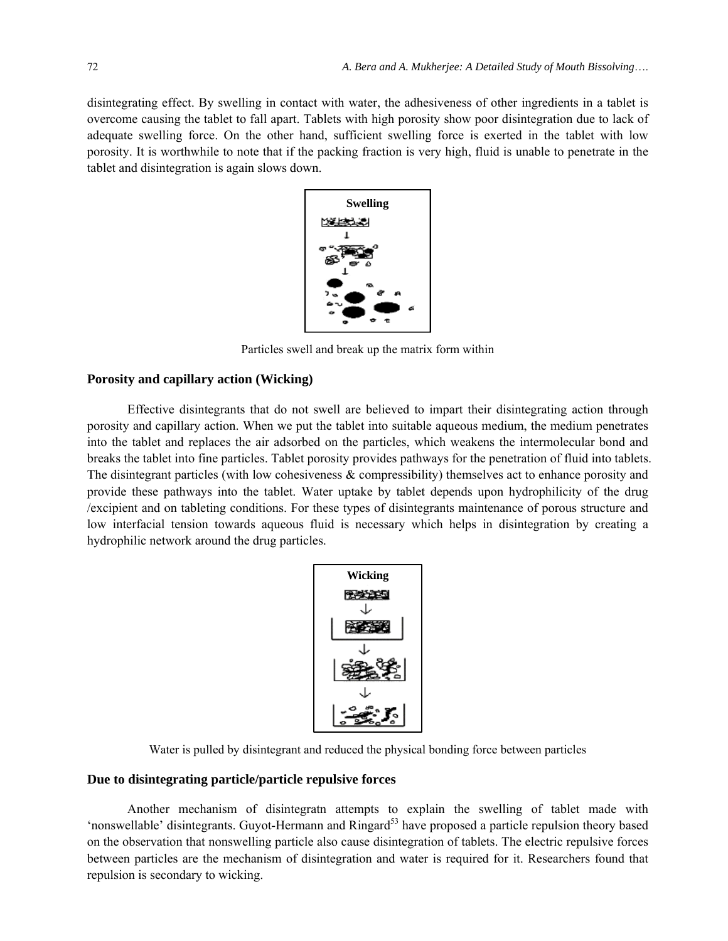disintegrating effect. By swelling in contact with water, the adhesiveness of other ingredients in a tablet is overcome causing the tablet to fall apart. Tablets with high porosity show poor disintegration due to lack of adequate swelling force. On the other hand, sufficient swelling force is exerted in the tablet with low porosity. It is worthwhile to note that if the packing fraction is very high, fluid is unable to penetrate in the tablet and disintegration is again slows down.



Particles swell and break up the matrix form within

# **Porosity and capillary action (Wicking)**

Effective disintegrants that do not swell are believed to impart their disintegrating action through porosity and capillary action. When we put the tablet into suitable aqueous medium, the medium penetrates into the tablet and replaces the air adsorbed on the particles, which weakens the intermolecular bond and breaks the tablet into fine particles. Tablet porosity provides pathways for the penetration of fluid into tablets. The disintegrant particles (with low cohesiveness  $\&$  compressibility) themselves act to enhance porosity and provide these pathways into the tablet. Water uptake by tablet depends upon hydrophilicity of the drug /excipient and on tableting conditions. For these types of disintegrants maintenance of porous structure and low interfacial tension towards aqueous fluid is necessary which helps in disintegration by creating a hydrophilic network around the drug particles.



Water is pulled by disintegrant and reduced the physical bonding force between particles

# **Due to disintegrating particle/particle repulsive forces**

Another mechanism of disintegratn attempts to explain the swelling of tablet made with 'nonswellable' disintegrants. Guyot-Hermann and Ringard<sup>53</sup> have proposed a particle repulsion theory based on the observation that nonswelling particle also cause disintegration of tablets. The electric repulsive forces between particles are the mechanism of disintegration and water is required for it. Researchers found that repulsion is secondary to wicking.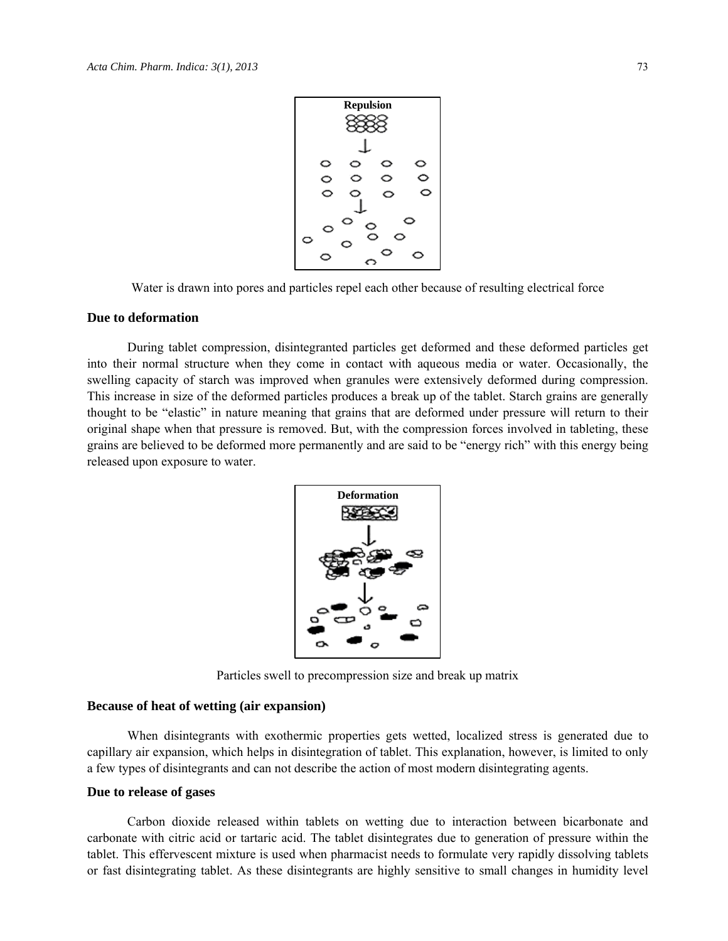

Water is drawn into pores and particles repel each other because of resulting electrical force

#### **Due to deformation**

During tablet compression, disintegranted particles get deformed and these deformed particles get into their normal structure when they come in contact with aqueous media or water. Occasionally, the swelling capacity of starch was improved when granules were extensively deformed during compression. This increase in size of the deformed particles produces a break up of the tablet. Starch grains are generally thought to be "elastic" in nature meaning that grains that are deformed under pressure will return to their original shape when that pressure is removed. But, with the compression forces involved in tableting, these grains are believed to be deformed more permanently and are said to be "energy rich" with this energy being released upon exposure to water.



Particles swell to precompression size and break up matrix

#### **Because of heat of wetting (air expansion)**

When disintegrants with exothermic properties gets wetted, localized stress is generated due to capillary air expansion, which helps in disintegration of tablet. This explanation, however, is limited to only a few types of disintegrants and can not describe the action of most modern disintegrating agents.

# **Due to release of gases**

Carbon dioxide released within tablets on wetting due to interaction between bicarbonate and carbonate with citric acid or tartaric acid. The tablet disintegrates due to generation of pressure within the tablet. This effervescent mixture is used when pharmacist needs to formulate very rapidly dissolving tablets or fast disintegrating tablet. As these disintegrants are highly sensitive to small changes in humidity level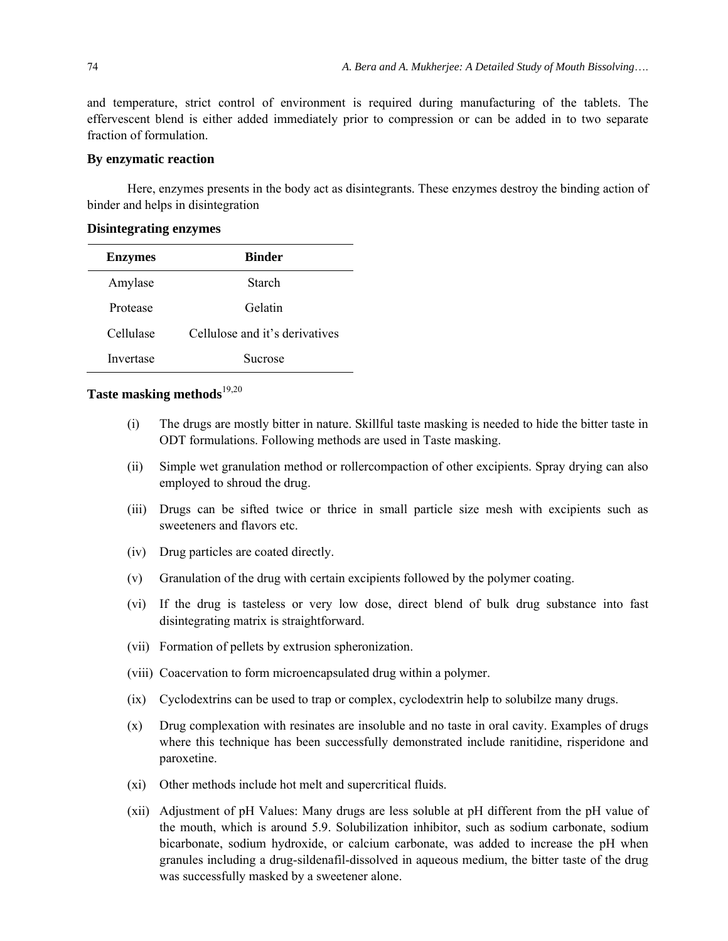and temperature, strict control of environment is required during manufacturing of the tablets. The effervescent blend is either added immediately prior to compression or can be added in to two separate fraction of formulation.

#### **By enzymatic reaction**

Here, enzymes presents in the body act as disintegrants. These enzymes destroy the binding action of binder and helps in disintegration

# **Disintegrating enzymes**

| <b>Enzymes</b> | <b>Binder</b>                  |
|----------------|--------------------------------|
| Amylase        | Starch                         |
| Protease       | Gelatin                        |
| Cellulase      | Cellulose and it's derivatives |
| Invertase      | Sucrose                        |

# **Taste masking methods**19,20

- (i) The drugs are mostly bitter in nature. Skillful taste masking is needed to hide the bitter taste in ODT formulations. Following methods are used in Taste masking.
- (ii) Simple wet granulation method or rollercompaction of other excipients. Spray drying can also employed to shroud the drug.
- (iii) Drugs can be sifted twice or thrice in small particle size mesh with excipients such as sweeteners and flavors etc.
- (iv) Drug particles are coated directly.
- (v) Granulation of the drug with certain excipients followed by the polymer coating.
- (vi) If the drug is tasteless or very low dose, direct blend of bulk drug substance into fast disintegrating matrix is straightforward.
- (vii) Formation of pellets by extrusion spheronization.
- (viii) Coacervation to form microencapsulated drug within a polymer.
- (ix) Cyclodextrins can be used to trap or complex, cyclodextrin help to solubilze many drugs.
- (x) Drug complexation with resinates are insoluble and no taste in oral cavity. Examples of drugs where this technique has been successfully demonstrated include ranitidine, risperidone and paroxetine.
- (xi) Other methods include hot melt and supercritical fluids.
- (xii) Adjustment of pH Values: Many drugs are less soluble at pH different from the pH value of the mouth, which is around 5.9. Solubilization inhibitor, such as sodium carbonate, sodium bicarbonate, sodium hydroxide, or calcium carbonate, was added to increase the pH when granules including a drug-sildenafil-dissolved in aqueous medium, the bitter taste of the drug was successfully masked by a sweetener alone.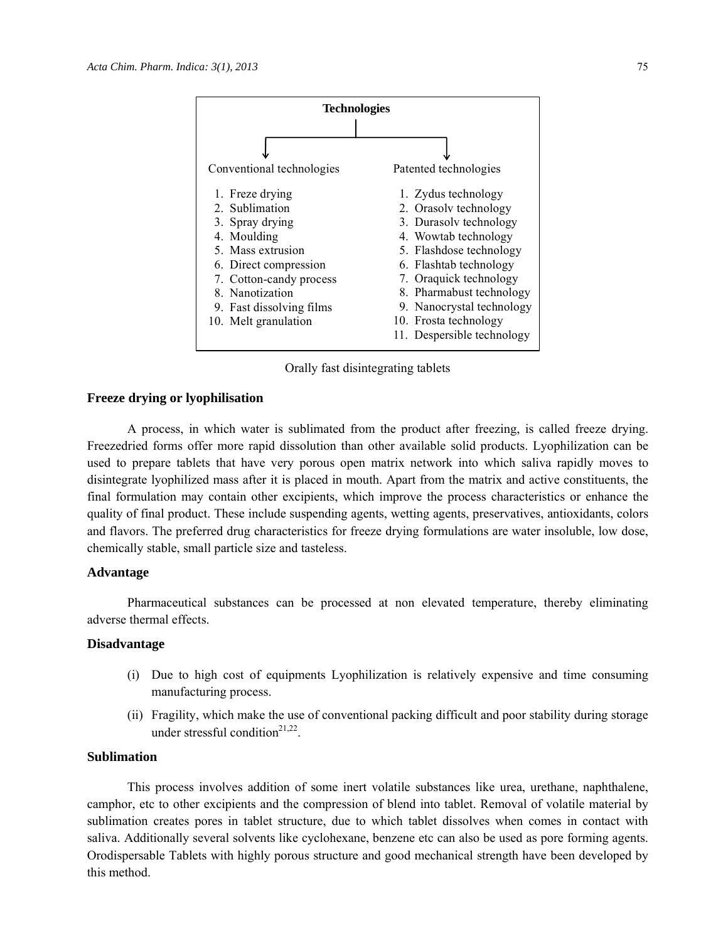

Orally fast disintegrating tablets

#### **Freeze drying or lyophilisation**

A process, in which water is sublimated from the product after freezing, is called freeze drying. Freezedried forms offer more rapid dissolution than other available solid products. Lyophilization can be used to prepare tablets that have very porous open matrix network into which saliva rapidly moves to disintegrate lyophilized mass after it is placed in mouth. Apart from the matrix and active constituents, the final formulation may contain other excipients, which improve the process characteristics or enhance the quality of final product. These include suspending agents, wetting agents, preservatives, antioxidants, colors and flavors. The preferred drug characteristics for freeze drying formulations are water insoluble, low dose, chemically stable, small particle size and tasteless.

# **Advantage**

Pharmaceutical substances can be processed at non elevated temperature, thereby eliminating adverse thermal effects.

### **Disadvantage**

- (i) Due to high cost of equipments Lyophilization is relatively expensive and time consuming manufacturing process.
- (ii) Fragility, which make the use of conventional packing difficult and poor stability during storage under stressful condition<sup>21,22</sup>.

# **Sublimation**

This process involves addition of some inert volatile substances like urea, urethane, naphthalene, camphor, etc to other excipients and the compression of blend into tablet. Removal of volatile material by sublimation creates pores in tablet structure, due to which tablet dissolves when comes in contact with saliva. Additionally several solvents like cyclohexane, benzene etc can also be used as pore forming agents. Orodispersable Tablets with highly porous structure and good mechanical strength have been developed by this method.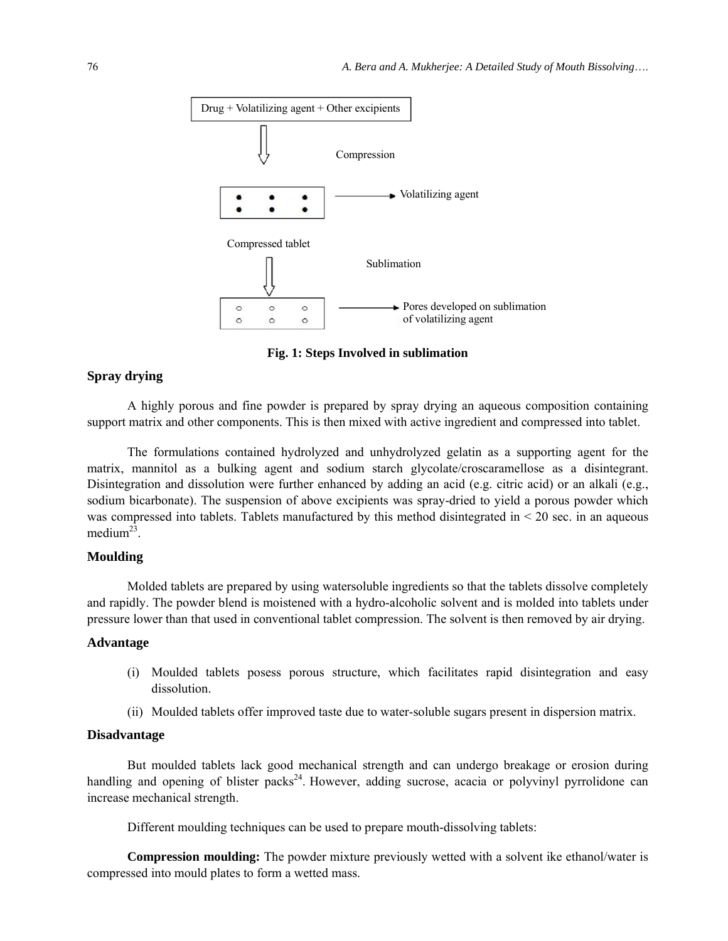

**Fig. 1: Steps Involved in sublimation** 

# **Spray drying**

A highly porous and fine powder is prepared by spray drying an aqueous composition containing support matrix and other components. This is then mixed with active ingredient and compressed into tablet.

The formulations contained hydrolyzed and unhydrolyzed gelatin as a supporting agent for the matrix, mannitol as a bulking agent and sodium starch glycolate/croscaramellose as a disintegrant. Disintegration and dissolution were further enhanced by adding an acid (e.g. citric acid) or an alkali (e.g., sodium bicarbonate). The suspension of above excipients was spray-dried to yield a porous powder which was compressed into tablets. Tablets manufactured by this method disintegrated in < 20 sec. in an aqueous medium<sup>23</sup>.

## **Moulding**

Molded tablets are prepared by using watersoluble ingredients so that the tablets dissolve completely and rapidly. The powder blend is moistened with a hydro-alcoholic solvent and is molded into tablets under pressure lower than that used in conventional tablet compression. The solvent is then removed by air drying.

#### **Advantage**

- (i) Moulded tablets posess porous structure, which facilitates rapid disintegration and easy dissolution.
- (ii) Moulded tablets offer improved taste due to water-soluble sugars present in dispersion matrix.

## **Disadvantage**

But moulded tablets lack good mechanical strength and can undergo breakage or erosion during handling and opening of blister packs<sup>24</sup>. However, adding sucrose, acacia or polyvinyl pyrrolidone can increase mechanical strength.

Different moulding techniques can be used to prepare mouth-dissolving tablets:

**Compression moulding:** The powder mixture previously wetted with a solvent ike ethanol/water is compressed into mould plates to form a wetted mass.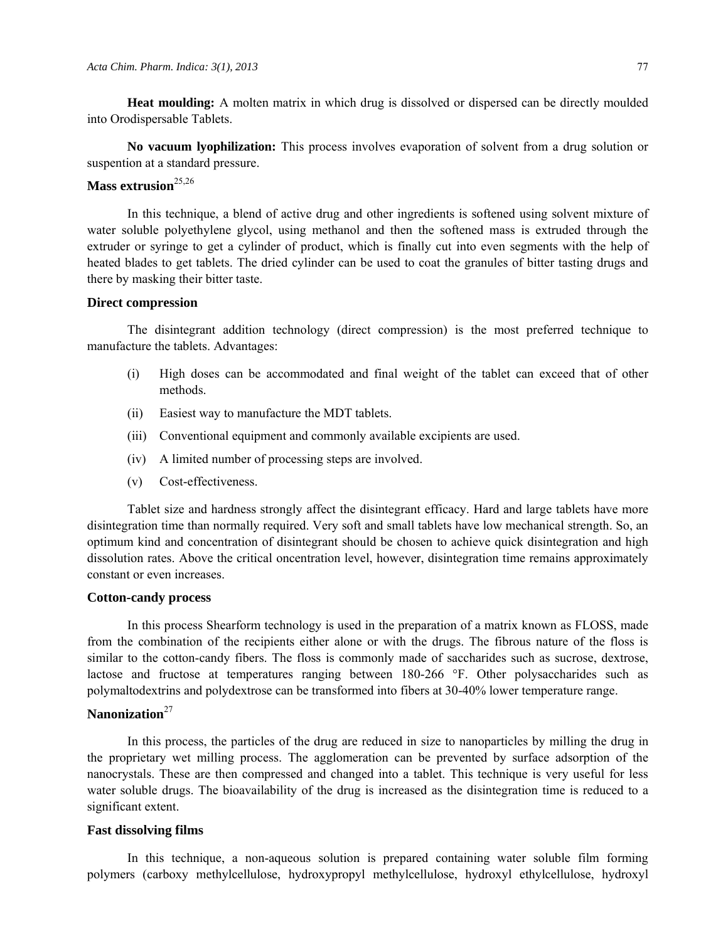**Heat moulding:** A molten matrix in which drug is dissolved or dispersed can be directly moulded into Orodispersable Tablets.

**No vacuum lyophilization:** This process involves evaporation of solvent from a drug solution or suspention at a standard pressure.

# Mass extrusion<sup>25,26</sup>

In this technique, a blend of active drug and other ingredients is softened using solvent mixture of water soluble polyethylene glycol, using methanol and then the softened mass is extruded through the extruder or syringe to get a cylinder of product, which is finally cut into even segments with the help of heated blades to get tablets. The dried cylinder can be used to coat the granules of bitter tasting drugs and there by masking their bitter taste.

#### **Direct compression**

The disintegrant addition technology (direct compression) is the most preferred technique to manufacture the tablets. Advantages:

- (i) High doses can be accommodated and final weight of the tablet can exceed that of other methods.
- (ii) Easiest way to manufacture the MDT tablets.
- (iii) Conventional equipment and commonly available excipients are used.
- (iv) A limited number of processing steps are involved.
- (v) Cost-effectiveness.

Tablet size and hardness strongly affect the disintegrant efficacy. Hard and large tablets have more disintegration time than normally required. Very soft and small tablets have low mechanical strength. So, an optimum kind and concentration of disintegrant should be chosen to achieve quick disintegration and high dissolution rates. Above the critical oncentration level, however, disintegration time remains approximately constant or even increases.

#### **Cotton-candy process**

In this process Shearform technology is used in the preparation of a matrix known as FLOSS, made from the combination of the recipients either alone or with the drugs. The fibrous nature of the floss is similar to the cotton-candy fibers. The floss is commonly made of saccharides such as sucrose, dextrose, lactose and fructose at temperatures ranging between 180-266 °F. Other polysaccharides such as polymaltodextrins and polydextrose can be transformed into fibers at 30-40% lower temperature range.

# **Nanonization**<sup>27</sup>

In this process, the particles of the drug are reduced in size to nanoparticles by milling the drug in the proprietary wet milling process. The agglomeration can be prevented by surface adsorption of the nanocrystals. These are then compressed and changed into a tablet. This technique is very useful for less water soluble drugs. The bioavailability of the drug is increased as the disintegration time is reduced to a significant extent.

#### **Fast dissolving films**

In this technique, a non-aqueous solution is prepared containing water soluble film forming polymers (carboxy methylcellulose, hydroxypropyl methylcellulose, hydroxyl ethylcellulose, hydroxyl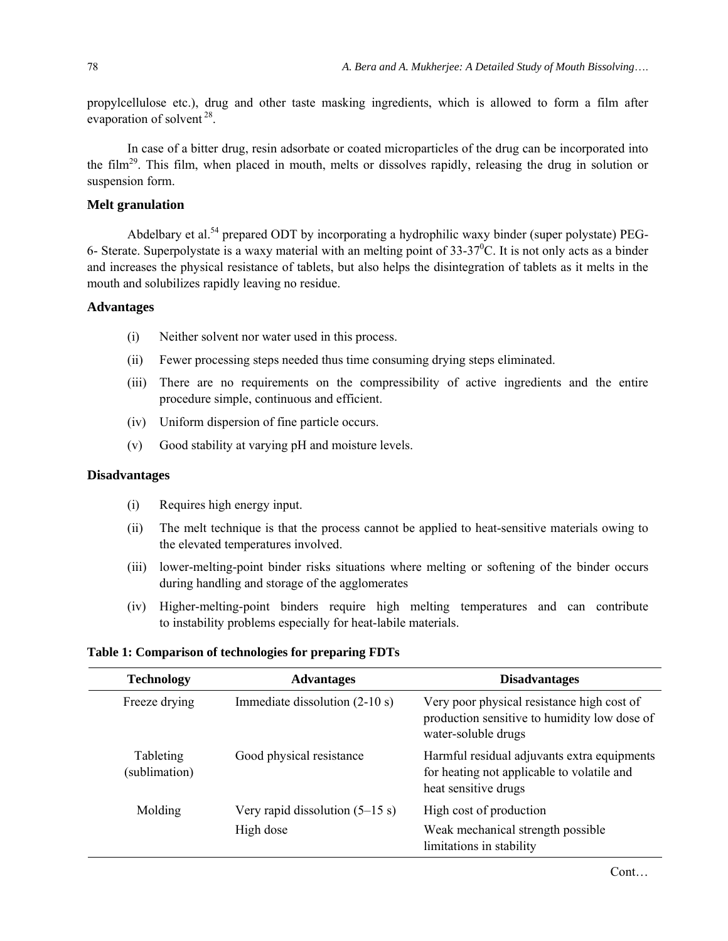propylcellulose etc.), drug and other taste masking ingredients, which is allowed to form a film after evaporation of solvent<sup>28</sup>.

In case of a bitter drug, resin adsorbate or coated microparticles of the drug can be incorporated into the film<sup>29</sup>. This film, when placed in mouth, melts or dissolves rapidly, releasing the drug in solution or suspension form.

# **Melt granulation**

Abdelbary et al.<sup>54</sup> prepared ODT by incorporating a hydrophilic waxy binder (super polystate) PEG-6- Sterate. Superpolystate is a waxy material with an melting point of  $33-37^0$ C. It is not only acts as a binder and increases the physical resistance of tablets, but also helps the disintegration of tablets as it melts in the mouth and solubilizes rapidly leaving no residue.

## **Advantages**

- (i) Neither solvent nor water used in this process.
- (ii) Fewer processing steps needed thus time consuming drying steps eliminated.
- (iii) There are no requirements on the compressibility of active ingredients and the entire procedure simple, continuous and efficient.
- (iv) Uniform dispersion of fine particle occurs.
- (v) Good stability at varying pH and moisture levels.

## **Disadvantages**

- (i) Requires high energy input.
- (ii) The melt technique is that the process cannot be applied to heat-sensitive materials owing to the elevated temperatures involved.
- (iii) lower-melting-point binder risks situations where melting or softening of the binder occurs during handling and storage of the agglomerates
- (iv) Higher-melting-point binders require high melting temperatures and can contribute to instability problems especially for heat-labile materials.

#### **Table 1: Comparison of technologies for preparing FDTs**

| <b>Technology</b>          | <b>Advantages</b>                 | <b>Disadvantages</b>                                                                                              |
|----------------------------|-----------------------------------|-------------------------------------------------------------------------------------------------------------------|
| Freeze drying              | Immediate dissolution $(2-10 s)$  | Very poor physical resistance high cost of<br>production sensitive to humidity low dose of<br>water-soluble drugs |
| Tableting<br>(sublimation) | Good physical resistance          | Harmful residual adjuvants extra equipments<br>for heating not applicable to volatile and<br>heat sensitive drugs |
| Molding                    | Very rapid dissolution $(5-15 s)$ | High cost of production                                                                                           |
|                            | High dose                         | Weak mechanical strength possible<br>limitations in stability                                                     |

Cont…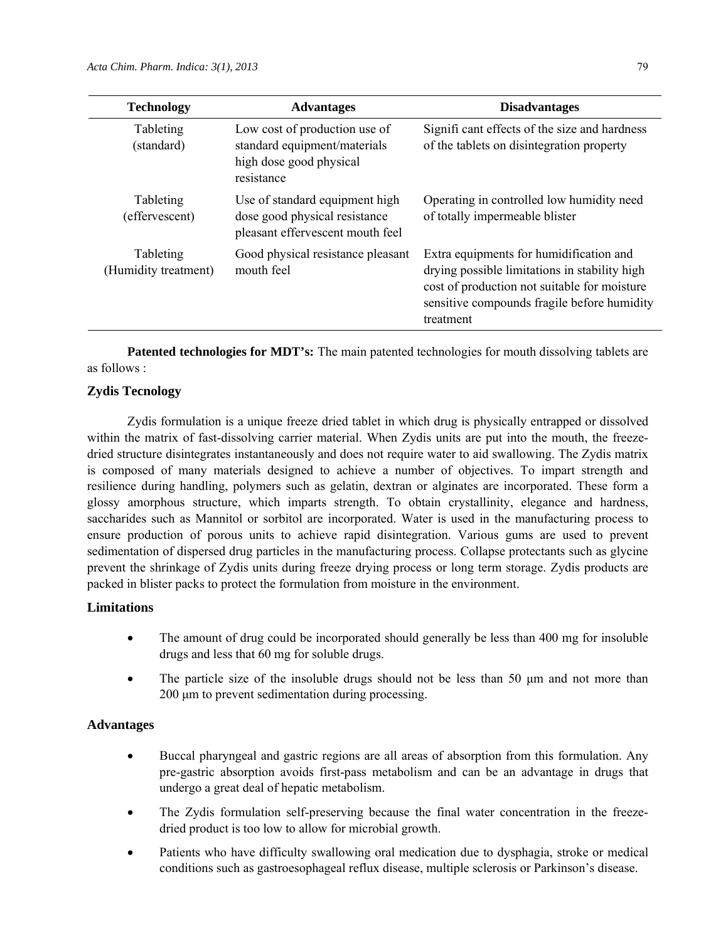| <b>Technology</b>                 | <b>Advantages</b>                                                                                      | <b>Disadvantages</b>                                                                                                                                                                                 |
|-----------------------------------|--------------------------------------------------------------------------------------------------------|------------------------------------------------------------------------------------------------------------------------------------------------------------------------------------------------------|
| Tableting<br>(standard)           | Low cost of production use of<br>standard equipment/materials<br>high dose good physical<br>resistance | Significant effects of the size and hardness<br>of the tablets on disintegration property                                                                                                            |
| Tableting<br>(effervescent)       | Use of standard equipment high<br>dose good physical resistance<br>pleasant effervescent mouth feel    | Operating in controlled low humidity need<br>of totally impermeable blister                                                                                                                          |
| Tableting<br>(Humidity treatment) | Good physical resistance pleasant<br>mouth feel                                                        | Extra equipments for humidification and<br>drying possible limitations in stability high<br>cost of production not suitable for moisture<br>sensitive compounds fragile before humidity<br>treatment |

**Patented technologies for MDT's:** The main patented technologies for mouth dissolving tablets are as follows :

# **Zydis Tecnology**

Zydis formulation is a unique freeze dried tablet in which drug is physically entrapped or dissolved within the matrix of fast-dissolving carrier material. When Zydis units are put into the mouth, the freezedried structure disintegrates instantaneously and does not require water to aid swallowing. The Zydis matrix is composed of many materials designed to achieve a number of objectives. To impart strength and resilience during handling, polymers such as gelatin, dextran or alginates are incorporated. These form a glossy amorphous structure, which imparts strength. To obtain crystallinity, elegance and hardness, saccharides such as Mannitol or sorbitol are incorporated. Water is used in the manufacturing process to ensure production of porous units to achieve rapid disintegration. Various gums are used to prevent sedimentation of dispersed drug particles in the manufacturing process. Collapse protectants such as glycine prevent the shrinkage of Zydis units during freeze drying process or long term storage. Zydis products are packed in blister packs to protect the formulation from moisture in the environment.

# **Limitations**

- The amount of drug could be incorporated should generally be less than 400 mg for insoluble drugs and less that 60 mg for soluble drugs.
- The particle size of the insoluble drugs should not be less than 50 μm and not more than 200 μm to prevent sedimentation during processing.

## **Advantages**

- Buccal pharyngeal and gastric regions are all areas of absorption from this formulation. Any pre-gastric absorption avoids first-pass metabolism and can be an advantage in drugs that undergo a great deal of hepatic metabolism.
- The Zydis formulation self-preserving because the final water concentration in the freezedried product is too low to allow for microbial growth.
- Patients who have difficulty swallowing oral medication due to dysphagia, stroke or medical conditions such as gastroesophageal reflux disease, multiple sclerosis or Parkinson's disease.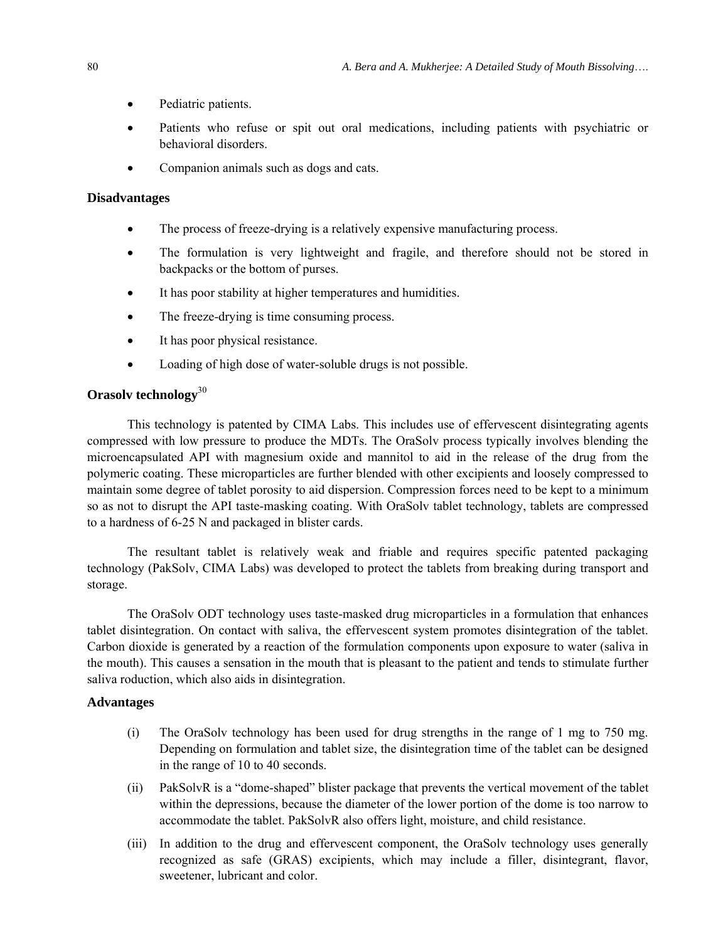- Pediatric patients.
- Patients who refuse or spit out oral medications, including patients with psychiatric or behavioral disorders.
- Companion animals such as dogs and cats.

## **Disadvantages**

- The process of freeze-drying is a relatively expensive manufacturing process.
- The formulation is very lightweight and fragile, and therefore should not be stored in backpacks or the bottom of purses.
- It has poor stability at higher temperatures and humidities.
- The freeze-drying is time consuming process.
- It has poor physical resistance.
- Loading of high dose of water-soluble drugs is not possible.

# **Orasolv technology**<sup>30</sup>

This technology is patented by CIMA Labs. This includes use of effervescent disintegrating agents compressed with low pressure to produce the MDTs. The OraSolv process typically involves blending the microencapsulated API with magnesium oxide and mannitol to aid in the release of the drug from the polymeric coating. These microparticles are further blended with other excipients and loosely compressed to maintain some degree of tablet porosity to aid dispersion. Compression forces need to be kept to a minimum so as not to disrupt the API taste-masking coating. With OraSolv tablet technology, tablets are compressed to a hardness of 6-25 N and packaged in blister cards.

The resultant tablet is relatively weak and friable and requires specific patented packaging technology (PakSolv, CIMA Labs) was developed to protect the tablets from breaking during transport and storage.

The OraSolv ODT technology uses taste-masked drug microparticles in a formulation that enhances tablet disintegration. On contact with saliva, the effervescent system promotes disintegration of the tablet. Carbon dioxide is generated by a reaction of the formulation components upon exposure to water (saliva in the mouth). This causes a sensation in the mouth that is pleasant to the patient and tends to stimulate further saliva roduction, which also aids in disintegration.

## **Advantages**

- (i) The OraSolv technology has been used for drug strengths in the range of 1 mg to 750 mg. Depending on formulation and tablet size, the disintegration time of the tablet can be designed in the range of 10 to 40 seconds.
- (ii) PakSolvR is a "dome-shaped" blister package that prevents the vertical movement of the tablet within the depressions, because the diameter of the lower portion of the dome is too narrow to accommodate the tablet. PakSolvR also offers light, moisture, and child resistance.
- (iii) In addition to the drug and effervescent component, the OraSolv technology uses generally recognized as safe (GRAS) excipients, which may include a filler, disintegrant, flavor, sweetener, lubricant and color.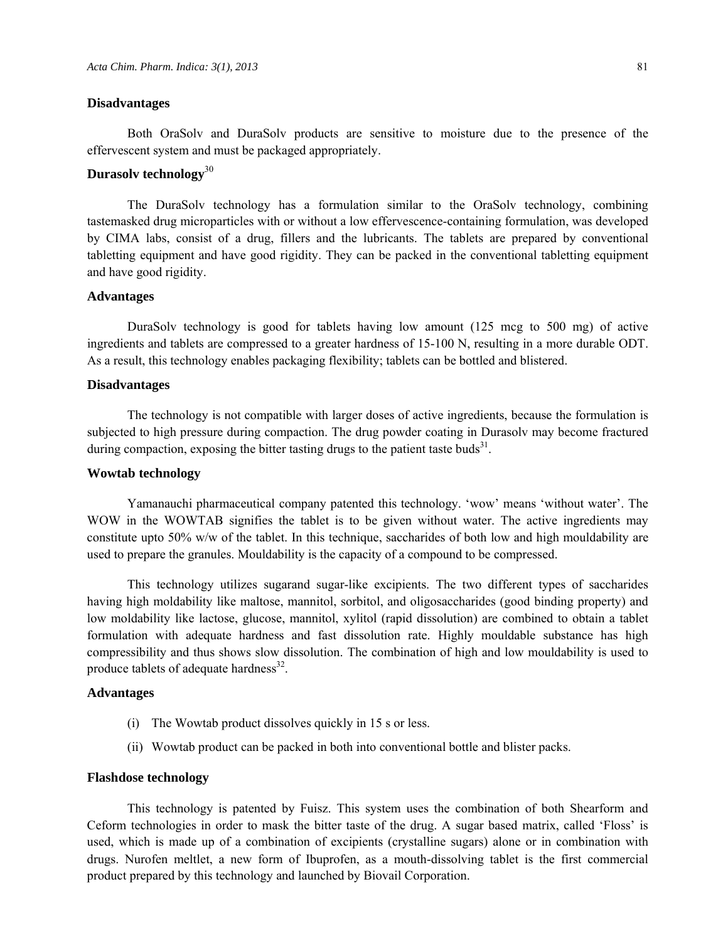#### **Disadvantages**

Both OraSolv and DuraSolv products are sensitive to moisture due to the presence of the effervescent system and must be packaged appropriately.

# **Durasolv technology**<sup>30</sup>

The DuraSolv technology has a formulation similar to the OraSolv technology, combining tastemasked drug microparticles with or without a low effervescence-containing formulation, was developed by CIMA labs, consist of a drug, fillers and the lubricants. The tablets are prepared by conventional tabletting equipment and have good rigidity. They can be packed in the conventional tabletting equipment and have good rigidity.

## **Advantages**

DuraSolv technology is good for tablets having low amount (125 mcg to 500 mg) of active ingredients and tablets are compressed to a greater hardness of 15-100 N, resulting in a more durable ODT. As a result, this technology enables packaging flexibility; tablets can be bottled and blistered.

#### **Disadvantages**

The technology is not compatible with larger doses of active ingredients, because the formulation is subjected to high pressure during compaction. The drug powder coating in Durasolv may become fractured during compaction, exposing the bitter tasting drugs to the patient taste buds<sup>31</sup>.

#### **Wowtab technology**

Yamanauchi pharmaceutical company patented this technology. 'wow' means 'without water'. The WOW in the WOWTAB signifies the tablet is to be given without water. The active ingredients may constitute upto 50% w/w of the tablet. In this technique, saccharides of both low and high mouldability are used to prepare the granules. Mouldability is the capacity of a compound to be compressed.

This technology utilizes sugarand sugar-like excipients. The two different types of saccharides having high moldability like maltose, mannitol, sorbitol, and oligosaccharides (good binding property) and low moldability like lactose, glucose, mannitol, xylitol (rapid dissolution) are combined to obtain a tablet formulation with adequate hardness and fast dissolution rate. Highly mouldable substance has high compressibility and thus shows slow dissolution. The combination of high and low mouldability is used to produce tablets of adequate hardness<sup>32</sup>.

## **Advantages**

- (i) The Wowtab product dissolves quickly in 15 s or less.
- (ii) Wowtab product can be packed in both into conventional bottle and blister packs.

## **Flashdose technology**

This technology is patented by Fuisz. This system uses the combination of both Shearform and Ceform technologies in order to mask the bitter taste of the drug. A sugar based matrix, called 'Floss' is used, which is made up of a combination of excipients (crystalline sugars) alone or in combination with drugs. Nurofen meltlet, a new form of Ibuprofen, as a mouth-dissolving tablet is the first commercial product prepared by this technology and launched by Biovail Corporation.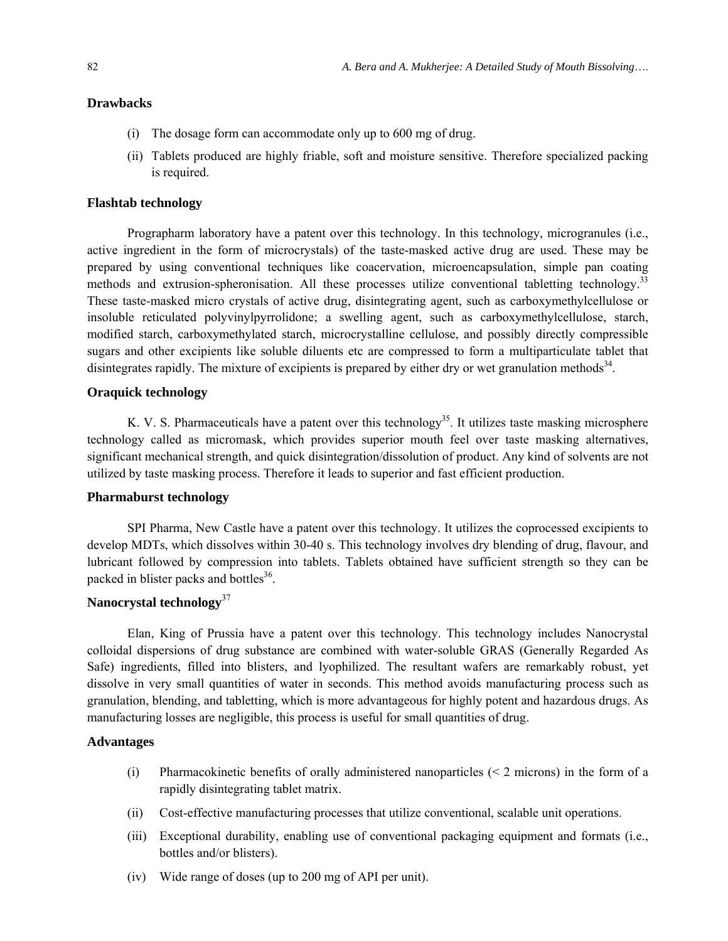#### **Drawbacks**

- (i) The dosage form can accommodate only up to 600 mg of drug.
- (ii) Tablets produced are highly friable, soft and moisture sensitive. Therefore specialized packing is required.

#### **Flashtab technology**

Prographarm laboratory have a patent over this technology. In this technology, microgranules (i.e., active ingredient in the form of microcrystals) of the taste-masked active drug are used. These may be prepared by using conventional techniques like coacervation, microencapsulation, simple pan coating methods and extrusion-spheronisation. All these processes utilize conventional tabletting technology.<sup>33</sup> These taste-masked micro crystals of active drug, disintegrating agent, such as carboxymethylcellulose or insoluble reticulated polyvinylpyrrolidone; a swelling agent, such as carboxymethylcellulose, starch, modified starch, carboxymethylated starch, microcrystalline cellulose, and possibly directly compressible sugars and other excipients like soluble diluents etc are compressed to form a multiparticulate tablet that disintegrates rapidly. The mixture of excipients is prepared by either dry or wet granulation methods<sup>34</sup>.

# **Oraquick technology**

K. V. S. Pharmaceuticals have a patent over this technology<sup>35</sup>. It utilizes taste masking microsphere technology called as micromask, which provides superior mouth feel over taste masking alternatives, significant mechanical strength, and quick disintegration/dissolution of product. Any kind of solvents are not utilized by taste masking process. Therefore it leads to superior and fast efficient production.

### **Pharmaburst technology**

SPI Pharma, New Castle have a patent over this technology. It utilizes the coprocessed excipients to develop MDTs, which dissolves within 30-40 s. This technology involves dry blending of drug, flavour, and lubricant followed by compression into tablets. Tablets obtained have sufficient strength so they can be packed in blister packs and bottles<sup>36</sup>.

# **Nanocrystal technology**<sup>37</sup>

Elan, King of Prussia have a patent over this technology. This technology includes Nanocrystal colloidal dispersions of drug substance are combined with water-soluble GRAS (Generally Regarded As Safe) ingredients, filled into blisters, and lyophilized. The resultant wafers are remarkably robust, yet dissolve in very small quantities of water in seconds. This method avoids manufacturing process such as granulation, blending, and tabletting, which is more advantageous for highly potent and hazardous drugs. As manufacturing losses are negligible, this process is useful for small quantities of drug.

## **Advantages**

- (i) Pharmacokinetic benefits of orally administered nanoparticles  $(< 2$  microns) in the form of a rapidly disintegrating tablet matrix.
- (ii) Cost-effective manufacturing processes that utilize conventional, scalable unit operations.
- (iii) Exceptional durability, enabling use of conventional packaging equipment and formats (i.e., bottles and/or blisters).
- (iv) Wide range of doses (up to 200 mg of API per unit).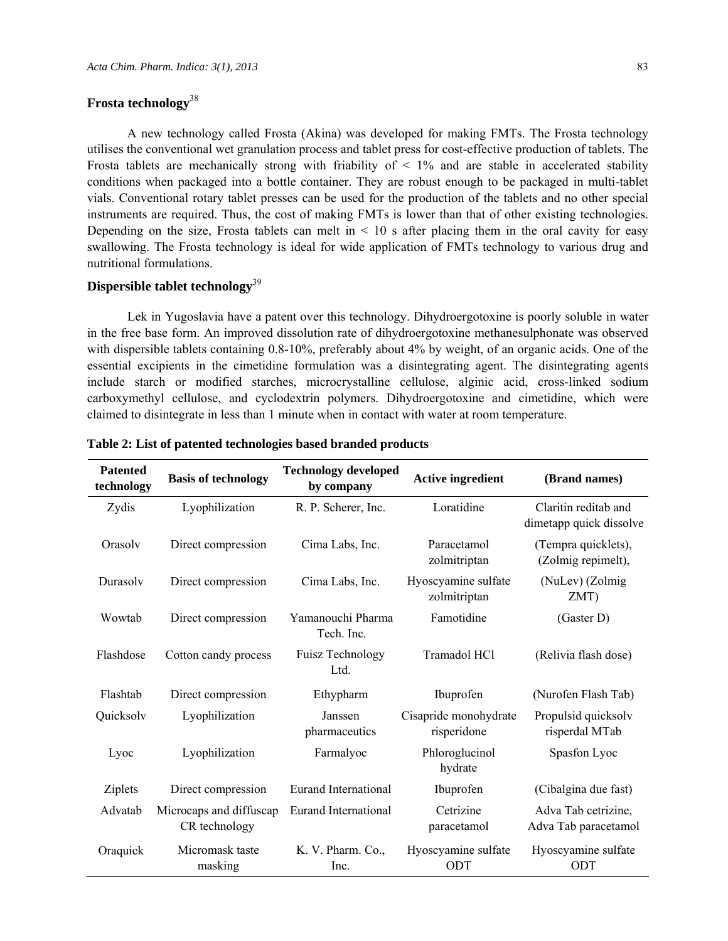# **Frosta technology**<sup>38</sup>

A new technology called Frosta (Akina) was developed for making FMTs. The Frosta technology utilises the conventional wet granulation process and tablet press for cost-effective production of tablets. The Frosta tablets are mechanically strong with friability of  $\leq$  1% and are stable in accelerated stability conditions when packaged into a bottle container. They are robust enough to be packaged in multi-tablet vials. Conventional rotary tablet presses can be used for the production of the tablets and no other special

instruments are required. Thus, the cost of making FMTs is lower than that of other existing technologies. Depending on the size, Frosta tablets can melt in  $\leq 10$  s after placing them in the oral cavity for easy swallowing. The Frosta technology is ideal for wide application of FMTs technology to various drug and nutritional formulations.

# **Dispersible tablet technology**<sup>39</sup>

Lek in Yugoslavia have a patent over this technology. Dihydroergotoxine is poorly soluble in water in the free base form. An improved dissolution rate of dihydroergotoxine methanesulphonate was observed with dispersible tablets containing 0.8-10%, preferably about 4% by weight, of an organic acids. One of the essential excipients in the cimetidine formulation was a disintegrating agent. The disintegrating agents include starch or modified starches, microcrystalline cellulose, alginic acid, cross-linked sodium carboxymethyl cellulose, and cyclodextrin polymers. Dihydroergotoxine and cimetidine, which were claimed to disintegrate in less than 1 minute when in contact with water at room temperature.

| <b>Patented</b><br>technology | <b>Basis of technology</b>               | <b>Technology developed</b><br>by company | <b>Active ingredient</b>             | (Brand names)                                   |
|-------------------------------|------------------------------------------|-------------------------------------------|--------------------------------------|-------------------------------------------------|
| Zydis                         | Lyophilization                           | R. P. Scherer, Inc.                       | Loratidine                           | Claritin reditab and<br>dimetapp quick dissolve |
| Orasoly                       | Direct compression                       | Cima Labs, Inc.                           | Paracetamol<br>zolmitriptan          | (Tempra quicklets),<br>(Zolmig repimelt),       |
| Durasolv                      | Direct compression                       | Cima Labs, Inc.                           | Hyoscyamine sulfate<br>zolmitriptan  | (NuLev) (Zolmig<br>ZMT)                         |
| Wowtab                        | Direct compression                       | Yamanouchi Pharma<br>Tech. Inc.           | Famotidine                           | (Gaster D)                                      |
| Flashdose                     | Cotton candy process                     | Fuisz Technology<br>Ltd.                  | Tramadol HCl                         | (Relivia flash dose)                            |
| Flashtab                      | Direct compression                       | Ethypharm                                 | Ibuprofen                            | (Nurofen Flash Tab)                             |
| Quicksolv                     | Lyophilization                           | Janssen<br>pharmaceutics                  | Cisapride monohydrate<br>risperidone | Propulsid quicksolv<br>risperdal MTab           |
| Lyoc                          | Lyophilization                           | Farmalyoc                                 | Phloroglucinol<br>hydrate            | Spasfon Lyoc                                    |
| Ziplets                       | Direct compression                       | Eurand International                      | Ibuprofen                            | (Cibalgina due fast)                            |
| Advatab                       | Microcaps and diffuscap<br>CR technology | Eurand International                      | Cetrizine<br>paracetamol             | Adva Tab cetrizine,<br>Adva Tab paracetamol     |
| Oraquick                      | Micromask taste<br>masking               | K. V. Pharm. Co.,<br>Inc.                 | Hyoscyamine sulfate<br>ODT           | Hyoscyamine sulfate<br>ODT                      |

**Table 2: List of patented technologies based branded products**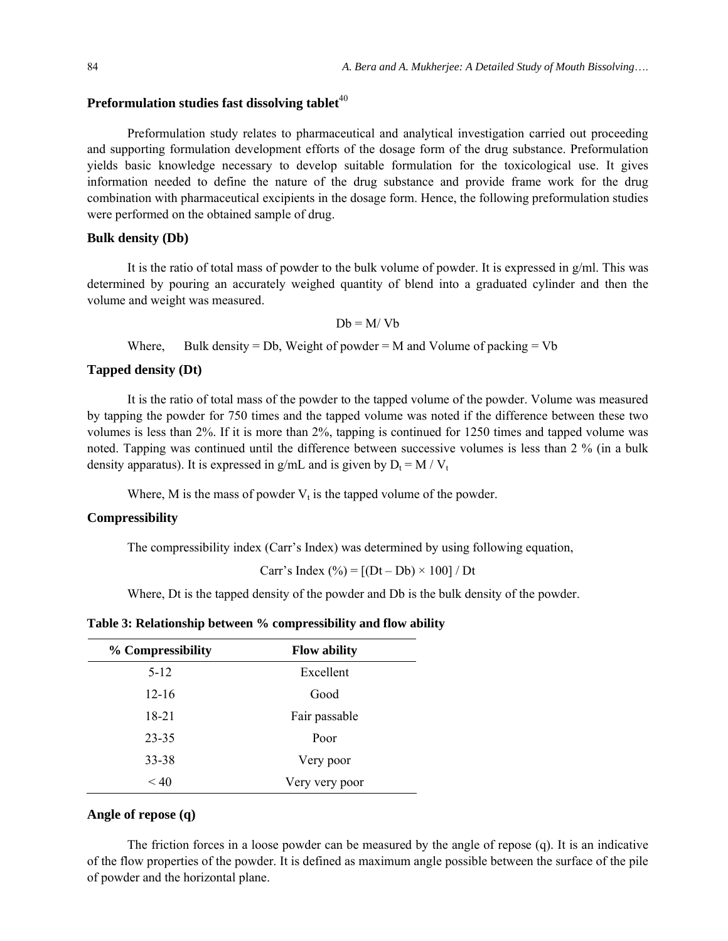# Preformulation studies fast dissolving tablet<sup>40</sup>

Preformulation study relates to pharmaceutical and analytical investigation carried out proceeding and supporting formulation development efforts of the dosage form of the drug substance. Preformulation yields basic knowledge necessary to develop suitable formulation for the toxicological use. It gives information needed to define the nature of the drug substance and provide frame work for the drug combination with pharmaceutical excipients in the dosage form. Hence, the following preformulation studies were performed on the obtained sample of drug.

#### **Bulk density (Db)**

It is the ratio of total mass of powder to the bulk volume of powder. It is expressed in g/ml. This was determined by pouring an accurately weighed quantity of blend into a graduated cylinder and then the volume and weight was measured.

 $Db = M/Vb$ 

Where, Bulk density = Db, Weight of powder = M and Volume of packing =  $Vb$ 

# **Tapped density (Dt)**

It is the ratio of total mass of the powder to the tapped volume of the powder. Volume was measured by tapping the powder for 750 times and the tapped volume was noted if the difference between these two volumes is less than 2%. If it is more than 2%, tapping is continued for 1250 times and tapped volume was noted. Tapping was continued until the difference between successive volumes is less than 2 % (in a bulk density apparatus). It is expressed in g/mL and is given by  $D_t = M / V_t$ 

Where, M is the mass of powder  $V_t$  is the tapped volume of the powder.

#### **Compressibility**

The compressibility index (Carr's Index) was determined by using following equation,

Carr's Index  $(\% ) = [(Dt - Db) \times 100] / Dt$ 

Where, Dt is the tapped density of the powder and Db is the bulk density of the powder.

**Table 3: Relationship between % compressibility and flow ability**

| % Compressibility | <b>Flow ability</b> |  |
|-------------------|---------------------|--|
| $5-12$            | Excellent           |  |
| $12 - 16$         | Good                |  |
| 18-21             | Fair passable       |  |
| 23-35             | Poor                |  |
| 33-38             | Very poor           |  |
| < 40              | Very very poor      |  |

#### **Angle of repose (q)**

The friction forces in a loose powder can be measured by the angle of repose (q). It is an indicative of the flow properties of the powder. It is defined as maximum angle possible between the surface of the pile of powder and the horizontal plane.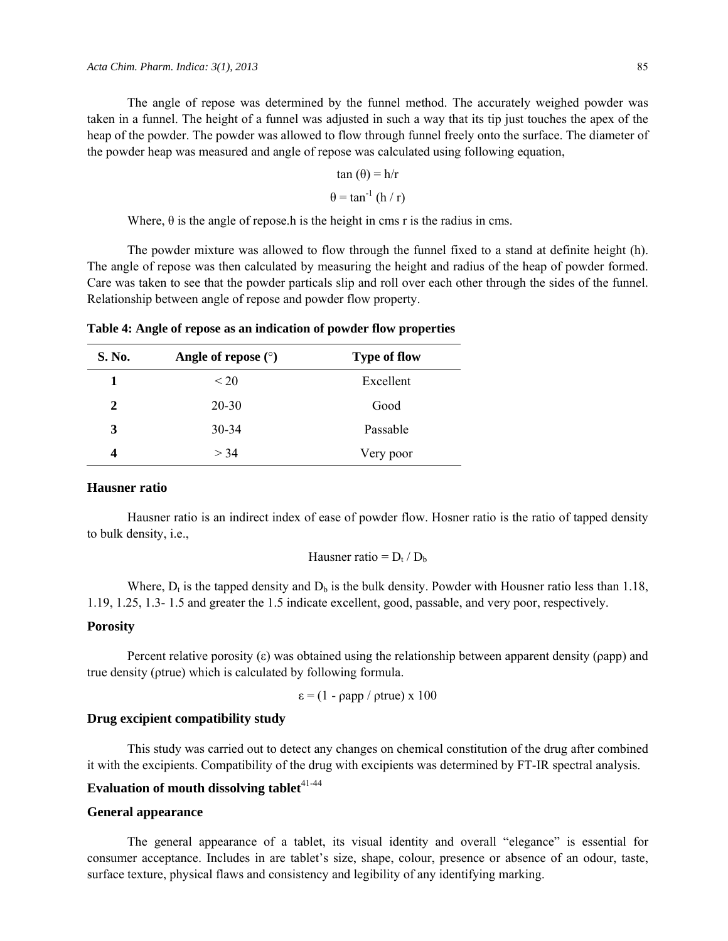The angle of repose was determined by the funnel method. The accurately weighed powder was taken in a funnel. The height of a funnel was adjusted in such a way that its tip just touches the apex of the heap of the powder. The powder was allowed to flow through funnel freely onto the surface. The diameter of the powder heap was measured and angle of repose was calculated using following equation,

$$
\tan(\theta) = h/r
$$

$$
\theta = \tan^{-1}(h/r)
$$

Where,  $\theta$  is the angle of repose.h is the height in cms r is the radius in cms.

The powder mixture was allowed to flow through the funnel fixed to a stand at definite height (h). The angle of repose was then calculated by measuring the height and radius of the heap of powder formed. Care was taken to see that the powder particals slip and roll over each other through the sides of the funnel. Relationship between angle of repose and powder flow property.

**Table 4: Angle of repose as an indication of powder flow properties** 

| S. No. | Angle of repose $(°)$ | <b>Type of flow</b> |
|--------|-----------------------|---------------------|
|        | $\leq$ 20             | Excellent           |
| 2      | $20 - 30$             | Good                |
| 3      | $30 - 34$             | Passable            |
| 4      | > 34                  | Very poor           |

## **Hausner ratio**

Hausner ratio is an indirect index of ease of powder flow. Hosner ratio is the ratio of tapped density to bulk density, i.e.,

Hausner ratio =  $D_t / D_b$ 

Where,  $D_t$  is the tapped density and  $D_b$  is the bulk density. Powder with Housner ratio less than 1.18, 1.19, 1.25, 1.3- 1.5 and greater the 1.5 indicate excellent, good, passable, and very poor, respectively.

# **Porosity**

Percent relative porosity  $(\epsilon)$  was obtained using the relationship between apparent density ( $\rho$ app) and true density (ρtrue) which is calculated by following formula.

$$
\varepsilon = (1 - \rho \text{app} / \rho \text{true}) \times 100
$$

# **Drug excipient compatibility study**

This study was carried out to detect any changes on chemical constitution of the drug after combined it with the excipients. Compatibility of the drug with excipients was determined by FT-IR spectral analysis.

# **Evaluation of mouth dissolving tablet**<sup>41-44</sup>

#### **General appearance**

The general appearance of a tablet, its visual identity and overall "elegance" is essential for consumer acceptance. Includes in are tablet's size, shape, colour, presence or absence of an odour, taste, surface texture, physical flaws and consistency and legibility of any identifying marking.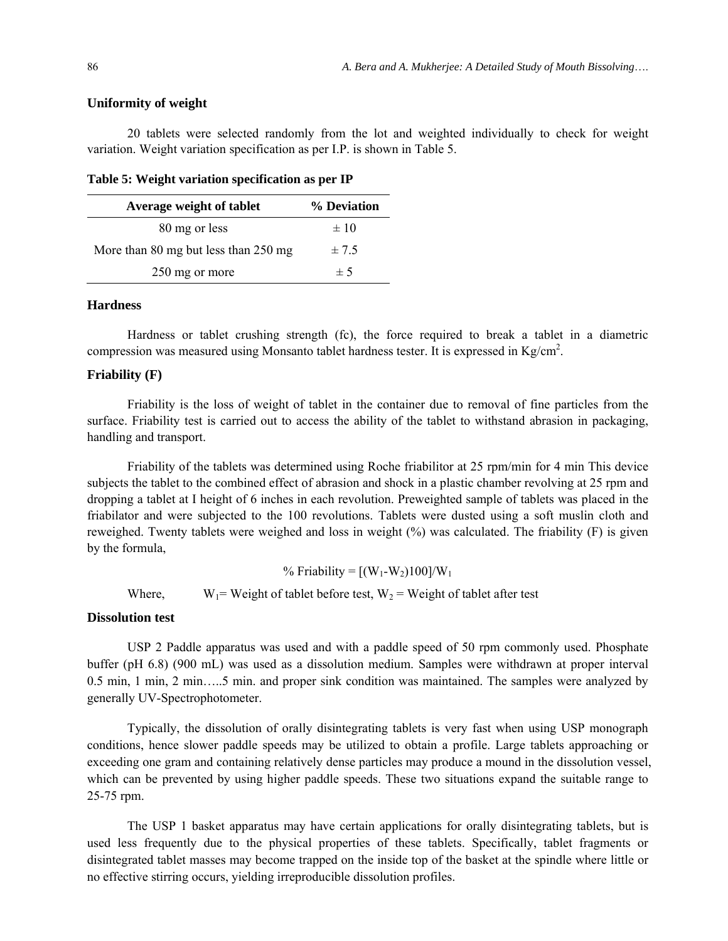#### **Uniformity of weight**

20 tablets were selected randomly from the lot and weighted individually to check for weight variation. Weight variation specification as per I.P. is shown in Table 5.

**Table 5: Weight variation specification as per IP** 

| Average weight of tablet             | % Deviation |
|--------------------------------------|-------------|
| 80 mg or less                        | $\pm 10$    |
| More than 80 mg but less than 250 mg | $\pm 7.5$   |
| 250 mg or more                       | ± 5         |

#### **Hardness**

Hardness or tablet crushing strength (fc), the force required to break a tablet in a diametric compression was measured using Monsanto tablet hardness tester. It is expressed in  $Kg/cm^2$ .

#### **Friability (F)**

Friability is the loss of weight of tablet in the container due to removal of fine particles from the surface. Friability test is carried out to access the ability of the tablet to withstand abrasion in packaging, handling and transport.

Friability of the tablets was determined using Roche friabilitor at 25 rpm/min for 4 min This device subjects the tablet to the combined effect of abrasion and shock in a plastic chamber revolving at 25 rpm and dropping a tablet at I height of 6 inches in each revolution. Preweighted sample of tablets was placed in the friabilator and were subjected to the 100 revolutions. Tablets were dusted using a soft muslin cloth and reweighed. Twenty tablets were weighed and loss in weight (%) was calculated. The friability (F) is given by the formula,

% Friability =  $[(W_1-W_2)100]/W_1$ Where,  $W_1$  = Weight of tablet before test,  $W_2$  = Weight of tablet after test

## **Dissolution test**

USP 2 Paddle apparatus was used and with a paddle speed of 50 rpm commonly used. Phosphate buffer (pH 6.8) (900 mL) was used as a dissolution medium. Samples were withdrawn at proper interval 0.5 min, 1 min, 2 min…..5 min. and proper sink condition was maintained. The samples were analyzed by generally UV-Spectrophotometer.

Typically, the dissolution of orally disintegrating tablets is very fast when using USP monograph conditions, hence slower paddle speeds may be utilized to obtain a profile. Large tablets approaching or exceeding one gram and containing relatively dense particles may produce a mound in the dissolution vessel, which can be prevented by using higher paddle speeds. These two situations expand the suitable range to 25-75 rpm.

The USP 1 basket apparatus may have certain applications for orally disintegrating tablets, but is used less frequently due to the physical properties of these tablets. Specifically, tablet fragments or disintegrated tablet masses may become trapped on the inside top of the basket at the spindle where little or no effective stirring occurs, yielding irreproducible dissolution profiles.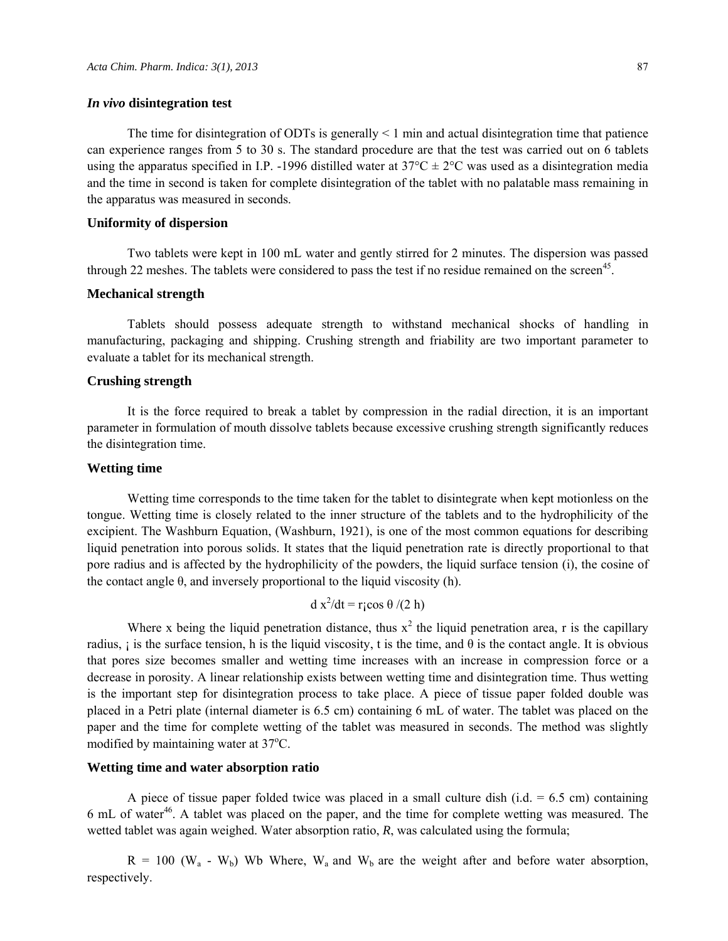#### *In vivo* **disintegration test**

The time for disintegration of ODTs is generally  $\leq 1$  min and actual disintegration time that patience can experience ranges from 5 to 30 s. The standard procedure are that the test was carried out on 6 tablets using the apparatus specified in I.P. -1996 distilled water at  $37^{\circ}C \pm 2^{\circ}C$  was used as a disintegration media and the time in second is taken for complete disintegration of the tablet with no palatable mass remaining in the apparatus was measured in seconds.

#### **Uniformity of dispersion**

Two tablets were kept in 100 mL water and gently stirred for 2 minutes. The dispersion was passed through 22 meshes. The tablets were considered to pass the test if no residue remained on the screen<sup>45</sup>.

## **Mechanical strength**

Tablets should possess adequate strength to withstand mechanical shocks of handling in manufacturing, packaging and shipping. Crushing strength and friability are two important parameter to evaluate a tablet for its mechanical strength.

## **Crushing strength**

It is the force required to break a tablet by compression in the radial direction, it is an important parameter in formulation of mouth dissolve tablets because excessive crushing strength significantly reduces the disintegration time.

### **Wetting time**

Wetting time corresponds to the time taken for the tablet to disintegrate when kept motionless on the tongue. Wetting time is closely related to the inner structure of the tablets and to the hydrophilicity of the excipient. The Washburn Equation, (Washburn, 1921), is one of the most common equations for describing liquid penetration into porous solids. It states that the liquid penetration rate is directly proportional to that pore radius and is affected by the hydrophilicity of the powders, the liquid surface tension (i), the cosine of the contact angle  $\theta$ , and inversely proportional to the liquid viscosity (h).

$$
d x^2/dt = r \cos \theta / (2 h)
$$

Where x being the liquid penetration distance, thus  $x^2$  the liquid penetration area, r is the capillary radius,  $\mathbf{i}$  is the surface tension, h is the liquid viscosity, t is the time, and  $\theta$  is the contact angle. It is obvious that pores size becomes smaller and wetting time increases with an increase in compression force or a decrease in porosity. A linear relationship exists between wetting time and disintegration time. Thus wetting is the important step for disintegration process to take place. A piece of tissue paper folded double was placed in a Petri plate (internal diameter is 6.5 cm) containing 6 mL of water. The tablet was placed on the paper and the time for complete wetting of the tablet was measured in seconds. The method was slightly modified by maintaining water at 37°C.

## **Wetting time and water absorption ratio**

A piece of tissue paper folded twice was placed in a small culture dish (i.d.  $= 6.5$  cm) containing 6 mL of water<sup>46</sup>. A tablet was placed on the paper, and the time for complete wetting was measured. The wetted tablet was again weighed. Water absorption ratio, *R*, was calculated using the formula;

 $R = 100$  (W<sub>a</sub> - W<sub>b</sub>) Wb Where, W<sub>a</sub> and W<sub>b</sub> are the weight after and before water absorption, respectively.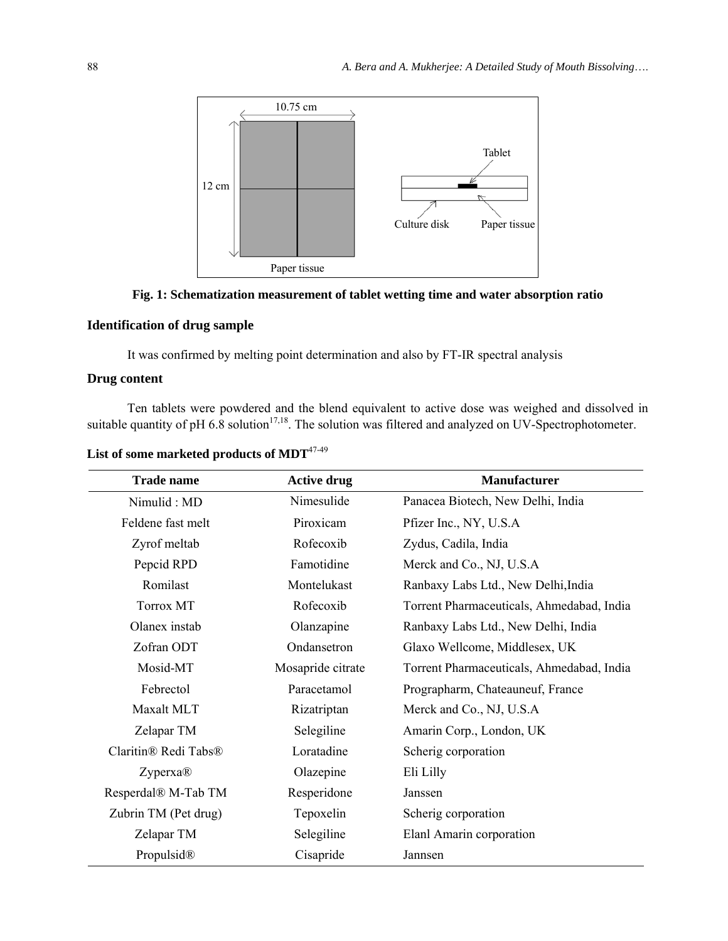

**Fig. 1: Schematization measurement of tablet wetting time and water absorption ratio** 

# **Identification of drug sample**

It was confirmed by melting point determination and also by FT-IR spectral analysis

# **Drug content**

Ten tablets were powdered and the blend equivalent to active dose was weighed and dissolved in suitable quantity of pH  $6.8$  solution<sup>17,18</sup>. The solution was filtered and analyzed on UV-Spectrophotometer.

List of some marketed products of MDT<sup>47-49</sup>

| <b>Trade name</b>                            | <b>Active drug</b> | <b>Manufacturer</b>                       |
|----------------------------------------------|--------------------|-------------------------------------------|
| Nimulid: MD                                  | Nimesulide         | Panacea Biotech, New Delhi, India         |
| Feldene fast melt                            | Piroxicam          | Pfizer Inc., NY, U.S.A                    |
| Zyrof meltab                                 | Rofecoxib          | Zydus, Cadila, India                      |
| Pepcid RPD                                   | Famotidine         | Merck and Co., NJ, U.S.A                  |
| Romilast                                     | Montelukast        | Ranbaxy Labs Ltd., New Delhi, India       |
| Torrox MT                                    | Rofecoxib          | Torrent Pharmaceuticals, Ahmedabad, India |
| Olanex instab                                | Olanzapine         | Ranbaxy Labs Ltd., New Delhi, India       |
| Zofran ODT                                   | Ondansetron        | Glaxo Wellcome, Middlesex, UK             |
| Mosid-MT                                     | Mosapride citrate  | Torrent Pharmaceuticals, Ahmedabad, India |
| Febrectol                                    | Paracetamol        | Prographarm, Chateauneuf, France          |
| Maxalt MLT                                   | Rizatriptan        | Merck and Co., NJ, U.S.A                  |
| Zelapar TM                                   | Selegiline         | Amarin Corp., London, UK                  |
| Claritin <sup>®</sup> Redi Tabs <sup>®</sup> | Loratadine         | Scherig corporation                       |
| Zyperxa <sup>®</sup>                         | Olazepine          | Eli Lilly                                 |
| Resperdal® M-Tab TM                          | Resperidone        | Janssen                                   |
| Zubrin TM (Pet drug)                         | Tepoxelin          | Scherig corporation                       |
| Zelapar TM                                   | Selegiline         | Elanl Amarin corporation                  |
| Propulsid®                                   | Cisapride          | Jannsen                                   |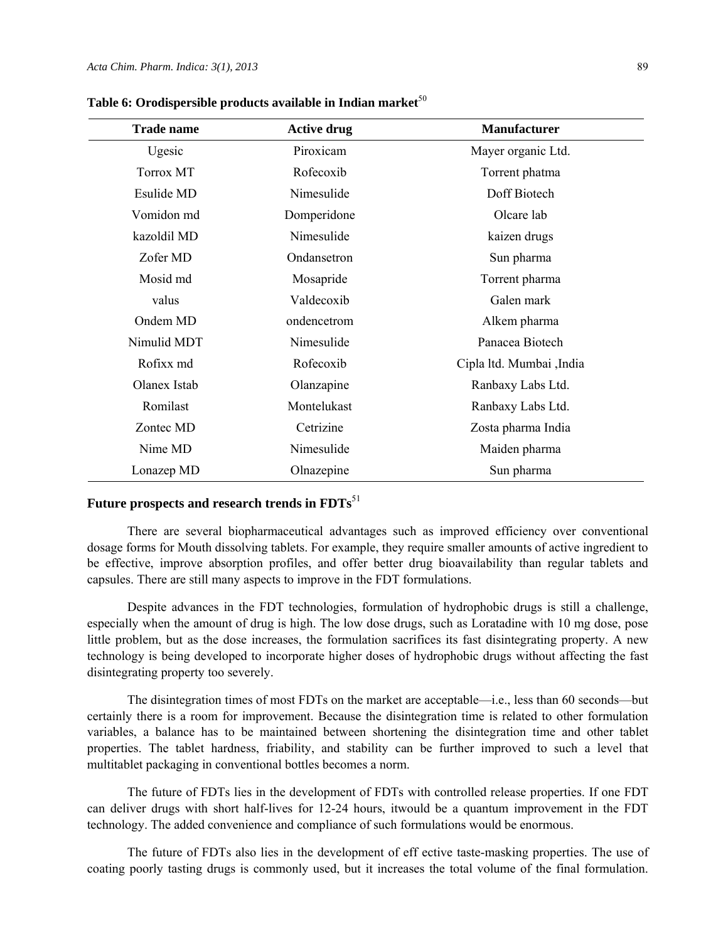| <b>Trade name</b> | <b>Active drug</b> | <b>Manufacturer</b>       |
|-------------------|--------------------|---------------------------|
| Ugesic            | Piroxicam          | Mayer organic Ltd.        |
| <b>Torrox MT</b>  | Rofecoxib          | Torrent phatma            |
| Esulide MD        | Nimesulide         | Doff Biotech              |
| Vomidon md        | Domperidone        | Olcare lab                |
| kazoldil MD       | Nimesulide         | kaizen drugs              |
| Zofer MD          | Ondansetron        | Sun pharma                |
| Mosid md          | Mosapride          | Torrent pharma            |
| valus             | Valdecoxib         | Galen mark                |
| Ondem MD          | ondencetrom        | Alkem pharma              |
| Nimulid MDT       | Nimesulide         | Panacea Biotech           |
| Rofixx md         | Rofecoxib          | Cipla ltd. Mumbai , India |
| Olanex Istab      | Olanzapine         | Ranbaxy Labs Ltd.         |
| Romilast          | Montelukast        | Ranbaxy Labs Ltd.         |
| Zontec MD         | Cetrizine          | Zosta pharma India        |
| Nime MD           | Nimesulide         | Maiden pharma             |
| Lonazep MD        | Olnazepine         | Sun pharma                |

Table 6: Orodispersible products available in Indian market<sup>50</sup>

# **Future prospects and research trends in FDTs**<sup>51</sup>

There are several biopharmaceutical advantages such as improved efficiency over conventional dosage forms for Mouth dissolving tablets. For example, they require smaller amounts of active ingredient to be effective, improve absorption profiles, and offer better drug bioavailability than regular tablets and capsules. There are still many aspects to improve in the FDT formulations.

Despite advances in the FDT technologies, formulation of hydrophobic drugs is still a challenge, especially when the amount of drug is high. The low dose drugs, such as Loratadine with 10 mg dose, pose little problem, but as the dose increases, the formulation sacrifices its fast disintegrating property. A new technology is being developed to incorporate higher doses of hydrophobic drugs without affecting the fast disintegrating property too severely.

The disintegration times of most FDTs on the market are acceptable—i.e., less than 60 seconds—but certainly there is a room for improvement. Because the disintegration time is related to other formulation variables, a balance has to be maintained between shortening the disintegration time and other tablet properties. The tablet hardness, friability, and stability can be further improved to such a level that multitablet packaging in conventional bottles becomes a norm.

The future of FDTs lies in the development of FDTs with controlled release properties. If one FDT can deliver drugs with short half-lives for 12-24 hours, itwould be a quantum improvement in the FDT technology. The added convenience and compliance of such formulations would be enormous.

The future of FDTs also lies in the development of eff ective taste-masking properties. The use of coating poorly tasting drugs is commonly used, but it increases the total volume of the final formulation.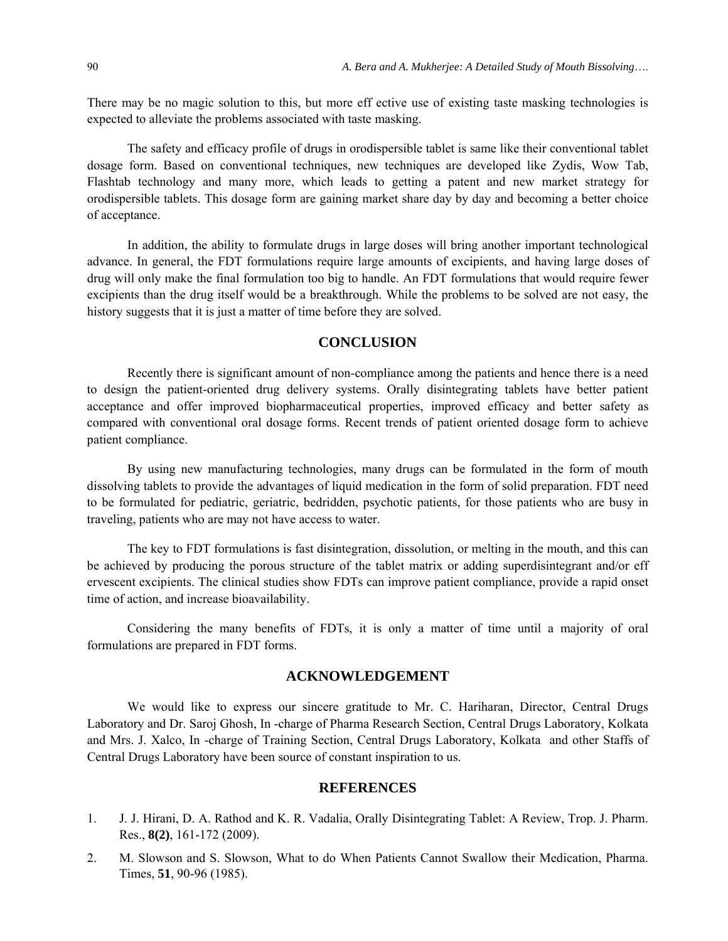There may be no magic solution to this, but more eff ective use of existing taste masking technologies is expected to alleviate the problems associated with taste masking.

The safety and efficacy profile of drugs in orodispersible tablet is same like their conventional tablet dosage form. Based on conventional techniques, new techniques are developed like Zydis, Wow Tab, Flashtab technology and many more, which leads to getting a patent and new market strategy for orodispersible tablets. This dosage form are gaining market share day by day and becoming a better choice of acceptance.

In addition, the ability to formulate drugs in large doses will bring another important technological advance. In general, the FDT formulations require large amounts of excipients, and having large doses of drug will only make the final formulation too big to handle. An FDT formulations that would require fewer excipients than the drug itself would be a breakthrough. While the problems to be solved are not easy, the history suggests that it is just a matter of time before they are solved.

# **CONCLUSION**

Recently there is significant amount of non-compliance among the patients and hence there is a need to design the patient-oriented drug delivery systems. Orally disintegrating tablets have better patient acceptance and offer improved biopharmaceutical properties, improved efficacy and better safety as compared with conventional oral dosage forms. Recent trends of patient oriented dosage form to achieve patient compliance.

By using new manufacturing technologies, many drugs can be formulated in the form of mouth dissolving tablets to provide the advantages of liquid medication in the form of solid preparation. FDT need to be formulated for pediatric, geriatric, bedridden, psychotic patients, for those patients who are busy in traveling, patients who are may not have access to water.

The key to FDT formulations is fast disintegration, dissolution, or melting in the mouth, and this can be achieved by producing the porous structure of the tablet matrix or adding superdisintegrant and/or eff ervescent excipients. The clinical studies show FDTs can improve patient compliance, provide a rapid onset time of action, and increase bioavailability.

Considering the many benefits of FDTs, it is only a matter of time until a majority of oral formulations are prepared in FDT forms.

# **ACKNOWLEDGEMENT**

We would like to express our sincere gratitude to Mr. C. Hariharan, Director, Central Drugs Laboratory and Dr. Saroj Ghosh, In -charge of Pharma Research Section, Central Drugs Laboratory, Kolkata and Mrs. J. Xalco, In -charge of Training Section, Central Drugs Laboratory, Kolkata and other Staffs of Central Drugs Laboratory have been source of constant inspiration to us.

## **REFERENCES**

- 1. J. J. Hirani, D. A. Rathod and K. R. Vadalia, Orally Disintegrating Tablet: A Review, Trop. J. Pharm. Res., **8(2)**, 161-172 (2009).
- 2. M. Slowson and S. Slowson, What to do When Patients Cannot Swallow their Medication, Pharma. Times, **51**, 90-96 (1985).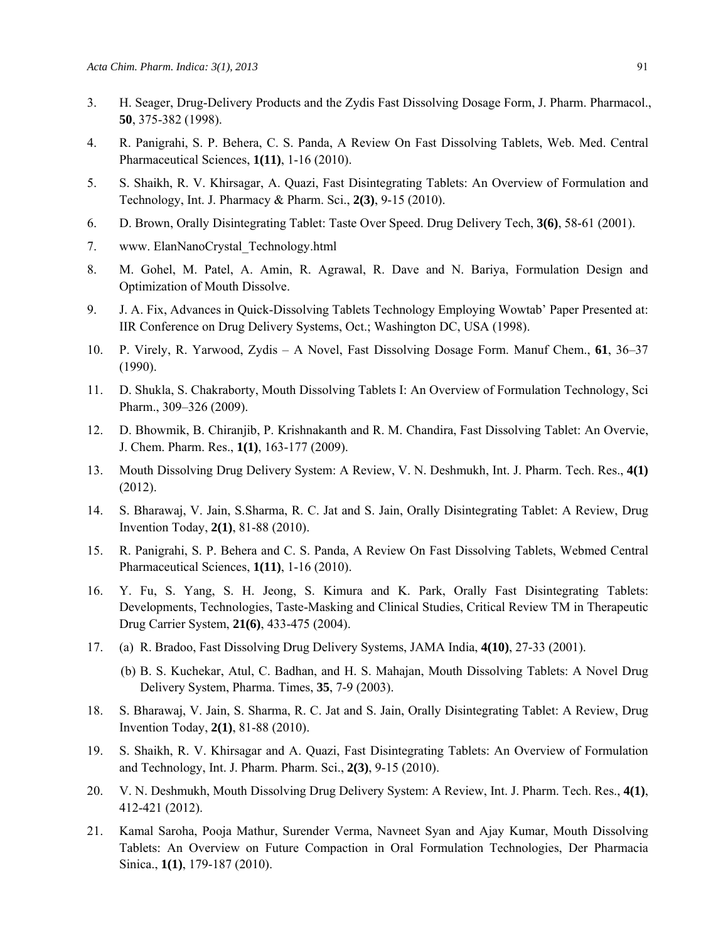- 3. H. Seager, Drug-Delivery Products and the Zydis Fast Dissolving Dosage Form, J. Pharm. Pharmacol., **50**, 375-382 (1998).
- 4. R. Panigrahi, S. P. Behera, C. S. Panda, A Review On Fast Dissolving Tablets, Web. Med. Central Pharmaceutical Sciences, **1(11)**, 1-16 (2010).
- 5. S. Shaikh, R. V. Khirsagar, A. Quazi, Fast Disintegrating Tablets: An Overview of Formulation and Technology, Int. J. Pharmacy & Pharm. Sci., **2(3)**, 9-15 (2010).
- 6. D. Brown, Orally Disintegrating Tablet: Taste Over Speed. Drug Delivery Tech, **3(6)**, 58-61 (2001).
- 7. www. ElanNanoCrystal\_Technology.html
- 8. M. Gohel, M. Patel, A. Amin, R. Agrawal, R. Dave and N. Bariya, Formulation Design and Optimization of Mouth Dissolve.
- 9. J. A. Fix, Advances in Quick-Dissolving Tablets Technology Employing Wowtab' Paper Presented at: IIR Conference on Drug Delivery Systems, Oct.; Washington DC, USA (1998).
- 10. P. Virely, R. Yarwood, Zydis A Novel, Fast Dissolving Dosage Form. Manuf Chem., **61**, 36–37 (1990).
- 11. D. Shukla, S. Chakraborty, Mouth Dissolving Tablets I: An Overview of Formulation Technology, Sci Pharm., 309–326 (2009).
- 12. D. Bhowmik, B. Chiranjib, P. Krishnakanth and R. M. Chandira, Fast Dissolving Tablet: An Overvie, J. Chem. Pharm. Res., **1(1)**, 163-177 (2009).
- 13. Mouth Dissolving Drug Delivery System: A Review, V. N. Deshmukh, Int. J. Pharm. Tech. Res., **4(1)** (2012).
- 14. S. Bharawaj, V. Jain, S.Sharma, R. C. Jat and S. Jain, Orally Disintegrating Tablet: A Review, Drug Invention Today, **2(1)**, 81-88 (2010).
- 15. R. Panigrahi, S. P. Behera and C. S. Panda, A Review On Fast Dissolving Tablets, Webmed Central Pharmaceutical Sciences, **1(11)**, 1-16 (2010).
- 16. Y. Fu, S. Yang, S. H. Jeong, S. Kimura and K. Park, Orally Fast Disintegrating Tablets: Developments, Technologies, Taste-Masking and Clinical Studies, Critical Review TM in Therapeutic Drug Carrier System, **21(6)**, 433-475 (2004).
- 17. (a) R. Bradoo, Fast Dissolving Drug Delivery Systems, JAMA India, **4(10)**, 27-33 (2001).
	- (b) B. S. Kuchekar, Atul, C. Badhan, and H. S. Mahajan, Mouth Dissolving Tablets: A Novel Drug Delivery System, Pharma. Times, **35**, 7-9 (2003).
- 18. S. Bharawaj, V. Jain, S. Sharma, R. C. Jat and S. Jain, Orally Disintegrating Tablet: A Review, Drug Invention Today, **2(1)**, 81-88 (2010).
- 19. S. Shaikh, R. V. Khirsagar and A. Quazi, Fast Disintegrating Tablets: An Overview of Formulation and Technology, Int. J. Pharm. Pharm. Sci., **2(3)**, 9-15 (2010).
- 20. V. N. Deshmukh, Mouth Dissolving Drug Delivery System: A Review, Int. J. Pharm. Tech. Res., **4(1)**, 412-421 (2012).
- 21. Kamal Saroha, Pooja Mathur, Surender Verma, Navneet Syan and Ajay Kumar, Mouth Dissolving Tablets: An Overview on Future Compaction in Oral Formulation Technologies, Der Pharmacia Sinica., **1(1)**, 179-187 (2010).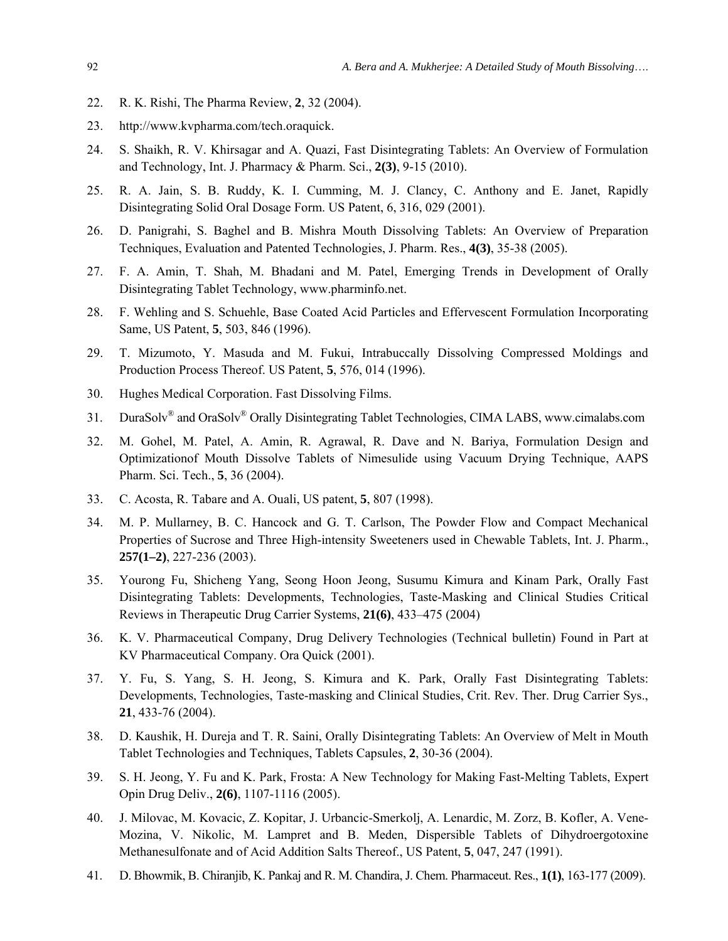- 22. R. K. Rishi, The Pharma Review, **2**, 32 (2004).
- 23. http://www.kvpharma.com/tech.oraquick.
- 24. S. Shaikh, R. V. Khirsagar and A. Quazi, Fast Disintegrating Tablets: An Overview of Formulation and Technology, Int. J. Pharmacy & Pharm. Sci., **2(3)**, 9-15 (2010).
- 25. R. A. Jain, S. B. Ruddy, K. I. Cumming, M. J. Clancy, C. Anthony and E. Janet, Rapidly Disintegrating Solid Oral Dosage Form. US Patent, 6, 316, 029 (2001).
- 26. D. Panigrahi, S. Baghel and B. Mishra Mouth Dissolving Tablets: An Overview of Preparation Techniques, Evaluation and Patented Technologies, J. Pharm. Res., **4(3)**, 35-38 (2005).
- 27. F. A. Amin, T. Shah, M. Bhadani and M. Patel, Emerging Trends in Development of Orally Disintegrating Tablet Technology, www.pharminfo.net.
- 28. F. Wehling and S. Schuehle, Base Coated Acid Particles and Effervescent Formulation Incorporating Same, US Patent, **5**, 503, 846 (1996).
- 29. T. Mizumoto, Y. Masuda and M. Fukui, Intrabuccally Dissolving Compressed Moldings and Production Process Thereof. US Patent, **5**, 576, 014 (1996).
- 30. Hughes Medical Corporation. Fast Dissolving Films.
- 31. DuraSolv<sup>®</sup> and OraSolv<sup>®</sup> Orally Disintegrating Tablet Technologies, CIMA LABS, www.cimalabs.com
- 32. M. Gohel, M. Patel, A. Amin, R. Agrawal, R. Dave and N. Bariya, Formulation Design and Optimizationof Mouth Dissolve Tablets of Nimesulide using Vacuum Drying Technique, AAPS Pharm. Sci. Tech., **5**, 36 (2004).
- 33. C. Acosta, R. Tabare and A. Ouali, US patent, **5**, 807 (1998).
- 34. M. P. Mullarney, B. C. Hancock and G. T. Carlson, The Powder Flow and Compact Mechanical Properties of Sucrose and Three High-intensity Sweeteners used in Chewable Tablets, Int. J. Pharm., **257(1–2)**, 227-236 (2003).
- 35. Yourong Fu, Shicheng Yang, Seong Hoon Jeong, Susumu Kimura and Kinam Park, Orally Fast Disintegrating Tablets: Developments, Technologies, Taste-Masking and Clinical Studies Critical Reviews in Therapeutic Drug Carrier Systems, **21(6)**, 433–475 (2004)
- 36. K. V. Pharmaceutical Company, Drug Delivery Technologies (Technical bulletin) Found in Part at KV Pharmaceutical Company. Ora Quick (2001).
- 37. Y. Fu, S. Yang, S. H. Jeong, S. Kimura and K. Park, Orally Fast Disintegrating Tablets: Developments, Technologies, Taste-masking and Clinical Studies, Crit. Rev. Ther. Drug Carrier Sys., **21**, 433-76 (2004).
- 38. D. Kaushik, H. Dureja and T. R. Saini, Orally Disintegrating Tablets: An Overview of Melt in Mouth Tablet Technologies and Techniques, Tablets Capsules, **2**, 30-36 (2004).
- 39. S. H. Jeong, Y. Fu and K. Park, Frosta: A New Technology for Making Fast-Melting Tablets, Expert Opin Drug Deliv., **2(6)**, 1107-1116 (2005).
- 40. J. Milovac, M. Kovacic, Z. Kopitar, J. Urbancic-Smerkolj, A. Lenardic, M. Zorz, B. Kofler, A. Vene-Mozina, V. Nikolic, M. Lampret and B. Meden, Dispersible Tablets of Dihydroergotoxine Methanesulfonate and of Acid Addition Salts Thereof., US Patent, **5**, 047, 247 (1991).
- 41. D. Bhowmik, B. Chiranjib, K. Pankaj and R. M. Chandira, J. Chem. Pharmaceut. Res., **1(1)**, 163-177 (2009).